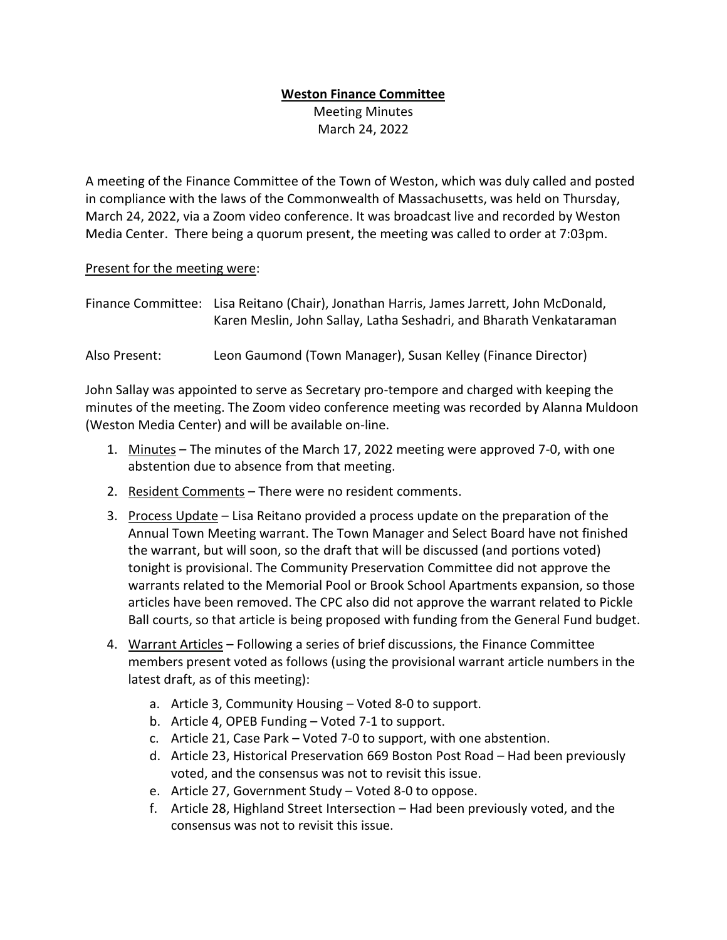# **Weston Finance Committee**

Meeting Minutes March 24, 2022

A meeting of the Finance Committee of the Town of Weston, which was duly called and posted in compliance with the laws of the Commonwealth of Massachusetts, was held on Thursday, March 24, 2022, via a Zoom video conference. It was broadcast live and recorded by Weston Media Center. There being a quorum present, the meeting was called to order at 7:03pm.

# Present for the meeting were:

| Finance Committee: Lisa Reitano (Chair), Jonathan Harris, James Jarrett, John McDonald, |
|-----------------------------------------------------------------------------------------|
| Karen Meslin, John Sallay, Latha Seshadri, and Bharath Venkataraman                     |

Also Present: Leon Gaumond (Town Manager), Susan Kelley (Finance Director)

John Sallay was appointed to serve as Secretary pro-tempore and charged with keeping the minutes of the meeting. The Zoom video conference meeting was recorded by Alanna Muldoon (Weston Media Center) and will be available on-line.

- 1. Minutes The minutes of the March 17, 2022 meeting were approved 7-0, with one abstention due to absence from that meeting.
- 2. Resident Comments There were no resident comments.
- 3. Process Update Lisa Reitano provided a process update on the preparation of the Annual Town Meeting warrant. The Town Manager and Select Board have not finished the warrant, but will soon, so the draft that will be discussed (and portions voted) tonight is provisional. The Community Preservation Committee did not approve the warrants related to the Memorial Pool or Brook School Apartments expansion, so those articles have been removed. The CPC also did not approve the warrant related to Pickle Ball courts, so that article is being proposed with funding from the General Fund budget.
- 4. Warrant Articles Following a series of brief discussions, the Finance Committee members present voted as follows (using the provisional warrant article numbers in the latest draft, as of this meeting):
	- a. Article 3, Community Housing Voted 8-0 to support.
	- b. Article 4, OPEB Funding Voted 7-1 to support.
	- c. Article 21, Case Park Voted 7-0 to support, with one abstention.
	- d. Article 23, Historical Preservation 669 Boston Post Road Had been previously voted, and the consensus was not to revisit this issue.
	- e. Article 27, Government Study Voted 8-0 to oppose.
	- f. Article 28, Highland Street Intersection Had been previously voted, and the consensus was not to revisit this issue.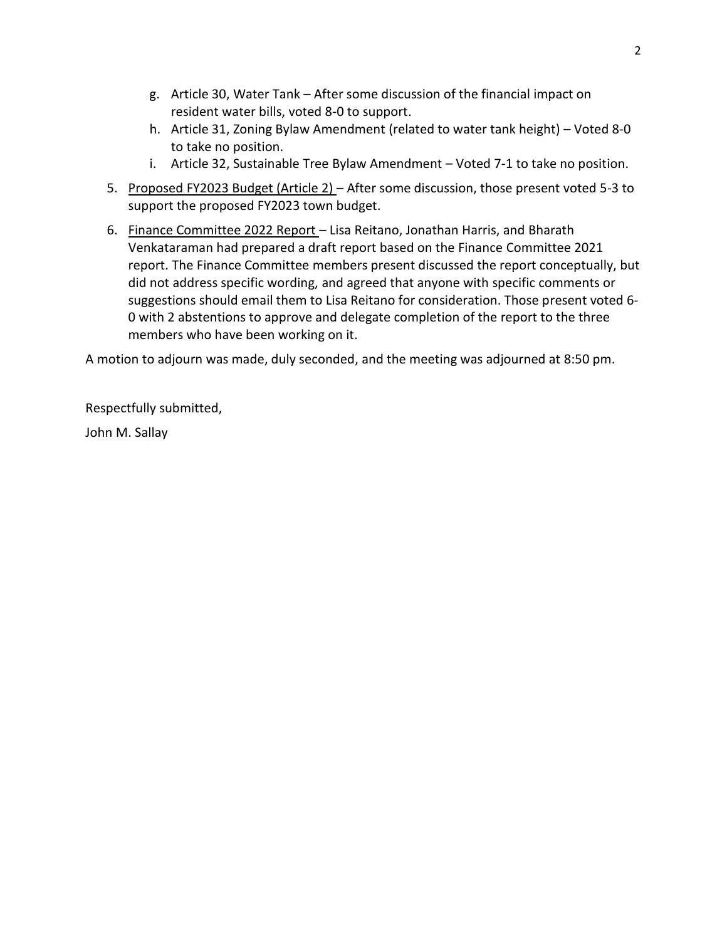- g. Article 30, Water Tank After some discussion of the financial impact on resident water bills, voted 8-0 to support.
- h. Article 31, Zoning Bylaw Amendment (related to water tank height) Voted 8-0 to take no position.
- i. Article 32, Sustainable Tree Bylaw Amendment Voted 7-1 to take no position.
- 5. Proposed FY2023 Budget (Article 2) After some discussion, those present voted 5-3 to support the proposed FY2023 town budget.
- 6. Finance Committee 2022 Report Lisa Reitano, Jonathan Harris, and Bharath Venkataraman had prepared a draft report based on the Finance Committee 2021 report. The Finance Committee members present discussed the report conceptually, but did not address specific wording, and agreed that anyone with specific comments or suggestions should email them to Lisa Reitano for consideration. Those present voted 6- 0 with 2 abstentions to approve and delegate completion of the report to the three members who have been working on it.

A motion to adjourn was made, duly seconded, and the meeting was adjourned at 8:50 pm.

Respectfully submitted,

John M. Sallay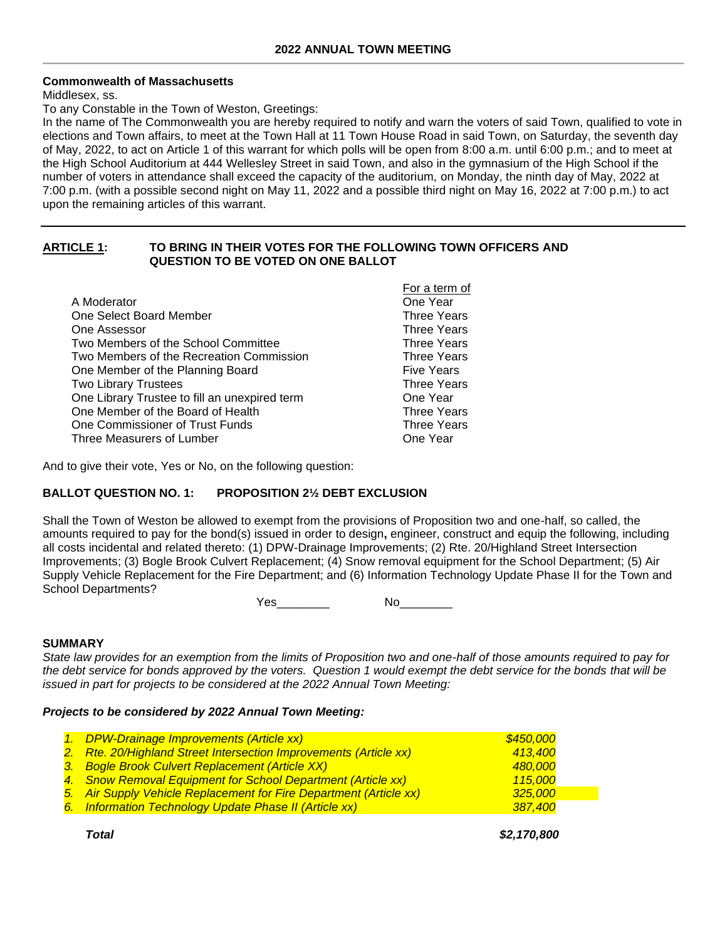## **Commonwealth of Massachusetts**

#### Middlesex, ss.

To any Constable in the Town of Weston, Greetings:

In the name of The Commonwealth you are hereby required to notify and warn the voters of said Town, qualified to vote in elections and Town affairs, to meet at the Town Hall at 11 Town House Road in said Town, on Saturday, the seventh day of May, 2022, to act on Article 1 of this warrant for which polls will be open from 8:00 a.m. until 6:00 p.m.; and to meet at the High School Auditorium at 444 Wellesley Street in said Town, and also in the gymnasium of the High School if the number of voters in attendance shall exceed the capacity of the auditorium, on Monday, the ninth day of May, 2022 at 7:00 p.m. (with a possible second night on May 11, 2022 and a possible third night on May 16, 2022 at 7:00 p.m.) to act upon the remaining articles of this warrant.

## **ARTICLE 1: TO BRING IN THEIR VOTES FOR THE FOLLOWING TOWN OFFICERS AND QUESTION TO BE VOTED ON ONE BALLOT**

|                                               | For a term of      |
|-----------------------------------------------|--------------------|
| A Moderator                                   | One Year           |
| One Select Board Member                       | <b>Three Years</b> |
| One Assessor                                  | <b>Three Years</b> |
| Two Members of the School Committee           | <b>Three Years</b> |
| Two Members of the Recreation Commission      | <b>Three Years</b> |
| One Member of the Planning Board              | <b>Five Years</b>  |
| <b>Two Library Trustees</b>                   | <b>Three Years</b> |
| One Library Trustee to fill an unexpired term | One Year           |
| One Member of the Board of Health             | <b>Three Years</b> |
| One Commissioner of Trust Funds               | <b>Three Years</b> |
| Three Measurers of Lumber                     | One Year           |

And to give their vote, Yes or No, on the following question:

## **BALLOT QUESTION NO. 1: PROPOSITION 2½ DEBT EXCLUSION**

Shall the Town of Weston be allowed to exempt from the provisions of Proposition two and one-half, so called, the amounts required to pay for the bond(s) issued in order to design**,** engineer, construct and equip the following, including all costs incidental and related thereto: (1) DPW-Drainage Improvements; (2) Rte. 20/Highland Street Intersection Improvements; (3) Bogle Brook Culvert Replacement; (4) Snow removal equipment for the School Department; (5) Air Supply Vehicle Replacement for the Fire Department; and (6) Information Technology Update Phase II for the Town and School Departments?

Yes\_\_\_\_\_\_\_\_ No\_\_\_\_\_\_\_\_

#### **SUMMARY**

*State law provides for an exemption from the limits of Proposition two and one-half of those amounts required to pay for the debt service for bonds approved by the voters. Question 1 would exempt the debt service for the bonds that will be issued in part for projects to be considered at the 2022 Annual Town Meeting:*

#### *Projects to be considered by 2022 Annual Town Meeting:*

| 1. DPW-Drainage Improvements (Article xx)                          | \$450,000 |
|--------------------------------------------------------------------|-----------|
| 2. Rte. 20/Highland Street Intersection Improvements (Article xx)  | 413.400   |
| 3. Bogle Brook Culvert Replacement (Article XX)                    | 480.000   |
| 4. Snow Removal Equipment for School Department (Article xx)       | 115,000   |
| 5. Air Supply Vehicle Replacement for Fire Department (Article xx) | 325,000   |
| 6. Information Technology Update Phase II (Article xx)             | 387,400   |
|                                                                    |           |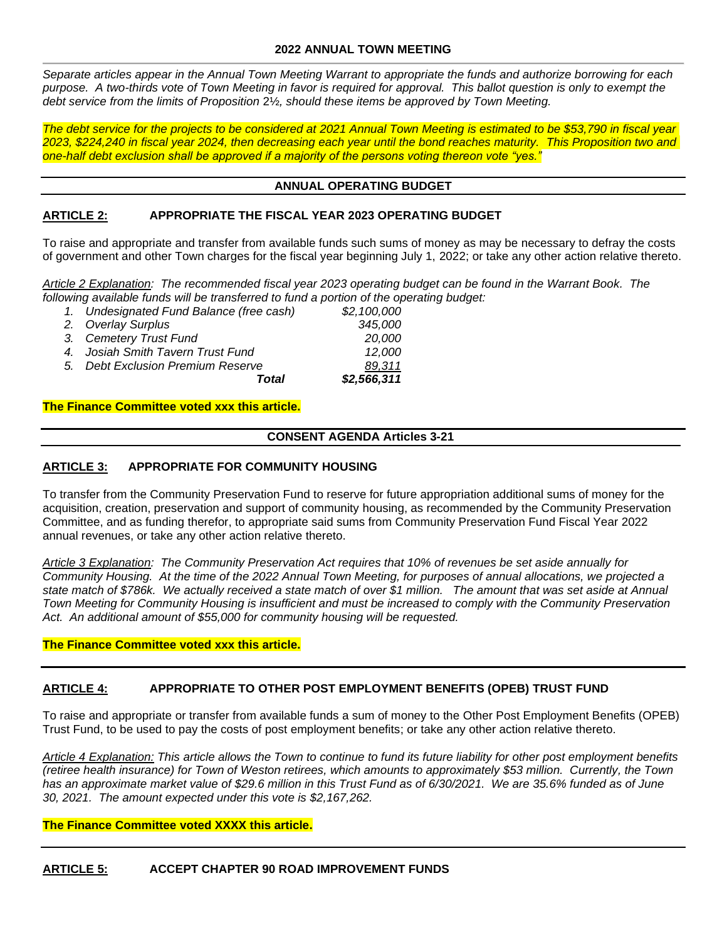*Separate articles appear in the Annual Town Meeting Warrant to appropriate the funds and authorize borrowing for each*  purpose. A two-thirds vote of Town Meeting in favor is required for approval. This ballot question is only to exempt the *debt service from the limits of Proposition* 2½*, should these items be approved by Town Meeting.*

*The debt service for the projects to be considered at 2021 Annual Town Meeting is estimated to be \$53,790 in fiscal year 2023, \$224,240 in fiscal year 2024, then decreasing each year until the bond reaches maturity. This Proposition two and one-half debt exclusion shall be approved if a majority of the persons voting thereon vote "yes."*

## **ANNUAL OPERATING BUDGET**

## **ARTICLE 2: APPROPRIATE THE FISCAL YEAR 2023 OPERATING BUDGET**

To raise and appropriate and transfer from available funds such sums of money as may be necessary to defray the costs of government and other Town charges for the fiscal year beginning July 1, 2022; or take any other action relative thereto.

*Article 2 Explanation: The recommended fiscal year 2023 operating budget can be found in the Warrant Book. The following available funds will be transferred to fund a portion of the operating budget:*

| Total                                    | 89,311<br>\$2,566,311 |
|------------------------------------------|-----------------------|
| 5. Debt Exclusion Premium Reserve        |                       |
| 4. Josiah Smith Tavern Trust Fund        | 12.000                |
| 3. Cemetery Trust Fund                   | 20.000                |
| 2. Overlay Surplus                       | 345,000               |
| 1. Undesignated Fund Balance (free cash) | \$2,100,000           |

#### **The Finance Committee voted xxx this article.**

## **CONSENT AGENDA Articles 3-21**

#### **ARTICLE 3: APPROPRIATE FOR COMMUNITY HOUSING**

To transfer from the Community Preservation Fund to reserve for future appropriation additional sums of money for the acquisition, creation, preservation and support of community housing, as recommended by the Community Preservation Committee, and as funding therefor, to appropriate said sums from Community Preservation Fund Fiscal Year 2022 annual revenues, or take any other action relative thereto.

*Article 3 Explanation: The Community Preservation Act requires that 10% of revenues be set aside annually for Community Housing. At the time of the 2022 Annual Town Meeting, for purposes of annual allocations, we projected a state match of \$786k. We actually received a state match of over \$1 million. The amount that was set aside at Annual Town Meeting for Community Housing is insufficient and must be increased to comply with the Community Preservation Act. An additional amount of \$55,000 for community housing will be requested.*

#### **The Finance Committee voted xxx this article.**

#### **ARTICLE 4: APPROPRIATE TO OTHER POST EMPLOYMENT BENEFITS (OPEB) TRUST FUND**

To raise and appropriate or transfer from available funds a sum of money to the Other Post Employment Benefits (OPEB) Trust Fund, to be used to pay the costs of post employment benefits; or take any other action relative thereto.

*Article 4 Explanation: This article allows the Town to continue to fund its future liability for other post employment benefits (retiree health insurance) for Town of Weston retirees, which amounts to approximately \$53 million. Currently, the Town has an approximate market value of \$29.6 million in this Trust Fund as of 6/30/2021. We are 35.6% funded as of June 30, 2021. The amount expected under this vote is \$2,167,262.* 

#### **The Finance Committee voted XXXX this article.**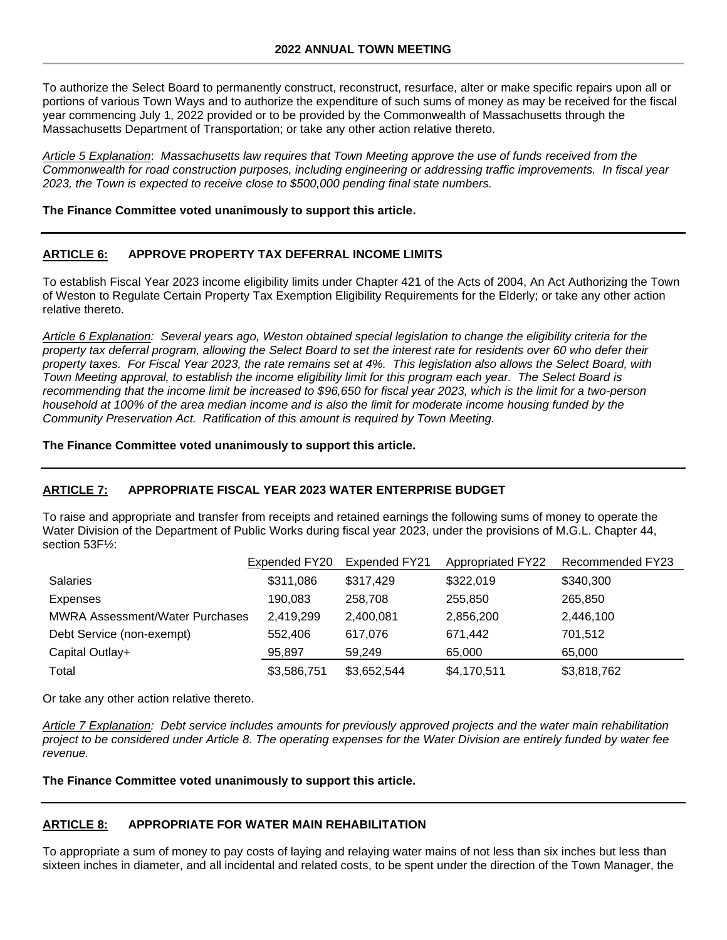To authorize the Select Board to permanently construct, reconstruct, resurface, alter or make specific repairs upon all or portions of various Town Ways and to authorize the expenditure of such sums of money as may be received for the fiscal year commencing July 1, 2022 provided or to be provided by the Commonwealth of Massachusetts through the Massachusetts Department of Transportation; or take any other action relative thereto.

*Article 5 Explanation*: *Massachusetts law requires that Town Meeting approve the use of funds received from the Commonwealth for road construction purposes, including engineering or addressing traffic improvements. In fiscal year 2023, the Town is expected to receive close to \$500,000 pending final state numbers.*

#### **The Finance Committee voted unanimously to support this article.**

## **ARTICLE 6: APPROVE PROPERTY TAX DEFERRAL INCOME LIMITS**

To establish Fiscal Year 2023 income eligibility limits under Chapter 421 of the Acts of 2004, An Act Authorizing the Town of Weston to Regulate Certain Property Tax Exemption Eligibility Requirements for the Elderly; or take any other action relative thereto.

*Article 6 Explanation: Several years ago, Weston obtained special legislation to change the eligibility criteria for the property tax deferral program, allowing the Select Board to set the interest rate for residents over 60 who defer their property taxes. For Fiscal Year 2023, the rate remains set at 4%. This legislation also allows the Select Board, with Town Meeting approval, to establish the income eligibility limit for this program each year. The Select Board is recommending that the income limit be increased to \$96,650 for fiscal year 2023, which is the limit for a two-person household at 100% of the area median income and is also the limit for moderate income housing funded by the Community Preservation Act. Ratification of this amount is required by Town Meeting.*

#### **The Finance Committee voted unanimously to support this article.**

## **ARTICLE 7: APPROPRIATE FISCAL YEAR 2023 WATER ENTERPRISE BUDGET**

To raise and appropriate and transfer from receipts and retained earnings the following sums of money to operate the Water Division of the Department of Public Works during fiscal year 2023, under the provisions of M.G.L. Chapter 44, section 53F½:

|                                        | Expended FY20 | Expended FY21 | <b>Appropriated FY22</b> | Recommended FY23 |
|----------------------------------------|---------------|---------------|--------------------------|------------------|
| <b>Salaries</b>                        | \$311,086     | \$317,429     | \$322,019                | \$340,300        |
| Expenses                               | 190.083       | 258,708       | 255,850                  | 265,850          |
| <b>MWRA Assessment/Water Purchases</b> | 2,419,299     | 2,400,081     | 2,856,200                | 2,446,100        |
| Debt Service (non-exempt)              | 552,406       | 617.076       | 671,442                  | 701.512          |
| Capital Outlay+                        | 95,897        | 59.249        | 65,000                   | 65,000           |
| Total                                  | \$3,586,751   | \$3,652,544   | \$4,170,511              | \$3,818,762      |

Or take any other action relative thereto.

*Article 7 Explanation: Debt service includes amounts for previously approved projects and the water main rehabilitation project to be considered under Article 8. The operating expenses for the Water Division are entirely funded by water fee revenue.*

**The Finance Committee voted unanimously to support this article.**

#### **ARTICLE 8: APPROPRIATE FOR WATER MAIN REHABILITATION**

To appropriate a sum of money to pay costs of laying and relaying water mains of not less than six inches but less than sixteen inches in diameter, and all incidental and related costs, to be spent under the direction of the Town Manager, the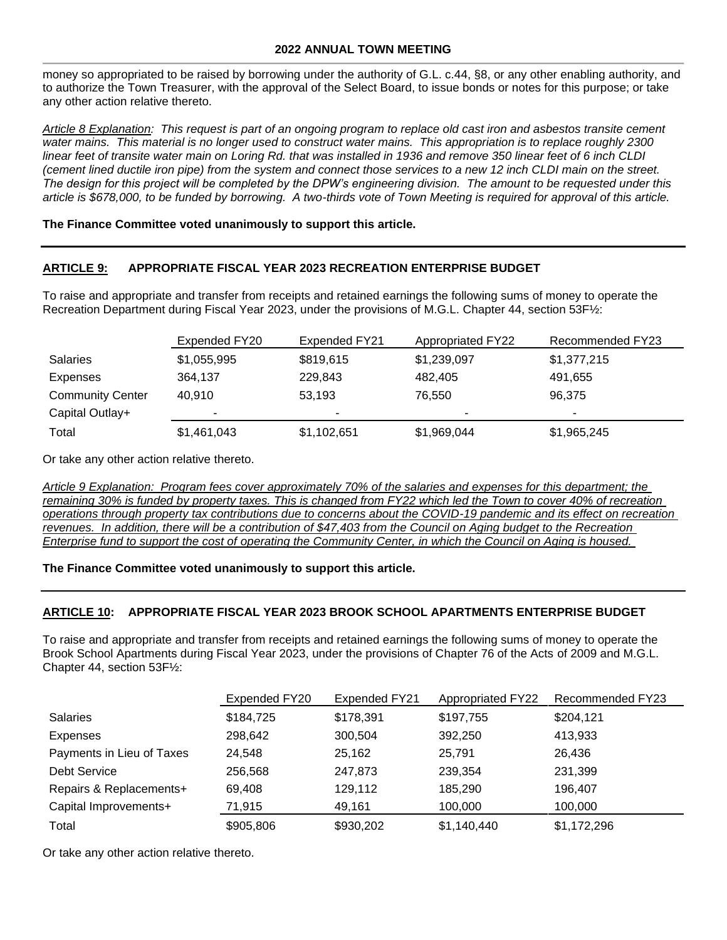money so appropriated to be raised by borrowing under the authority of G.L. c.44, §8, or any other enabling authority, and to authorize the Town Treasurer, with the approval of the Select Board, to issue bonds or notes for this purpose; or take any other action relative thereto.

*Article 8 Explanation: This request is part of an ongoing program to replace old cast iron and asbestos transite cement*  water mains. This material is no longer used to construct water mains. This appropriation is to replace roughly 2300 *linear feet of transite water main on Loring Rd. that was installed in 1936 and remove 350 linear feet of 6 inch CLDI (cement lined ductile iron pipe) from the system and connect those services to a new 12 inch CLDI main on the street. The design for this project will be completed by the DPW's engineering division. The amount to be requested under this article is \$678,000, to be funded by borrowing. A two-thirds vote of Town Meeting is required for approval of this article.*

## **The Finance Committee voted unanimously to support this article.**

## **ARTICLE 9: APPROPRIATE FISCAL YEAR 2023 RECREATION ENTERPRISE BUDGET**

To raise and appropriate and transfer from receipts and retained earnings the following sums of money to operate the Recreation Department during Fiscal Year 2023, under the provisions of M.G.L. Chapter 44, section 53F½:

|                         | Expended FY20 | Expended FY21 | Appropriated FY22 | Recommended FY23 |
|-------------------------|---------------|---------------|-------------------|------------------|
| <b>Salaries</b>         | \$1,055,995   | \$819,615     | \$1,239,097       | \$1,377,215      |
| Expenses                | 364,137       | 229,843       | 482,405           | 491,655          |
| <b>Community Center</b> | 40.910        | 53,193        | 76,550            | 96.375           |
| Capital Outlay+         |               | -             |                   |                  |
| Total                   | \$1,461,043   | \$1,102,651   | \$1,969,044       | \$1,965,245      |

Or take any other action relative thereto.

*Article 9 Explanation: Program fees cover approximately 70% of the salaries and expenses for this department; the remaining 30% is funded by property taxes. This is changed from FY22 which led the Town to cover 40% of recreation operations through property tax contributions due to concerns about the COVID-19 pandemic and its effect on recreation*  revenues. In addition, there will be a contribution of \$47,403 from the Council on Aging budget to the Recreation *Enterprise fund to support the cost of operating the Community Center, in which the Council on Aging is housed.* 

**The Finance Committee voted unanimously to support this article.**

## **ARTICLE 10: APPROPRIATE FISCAL YEAR 2023 BROOK SCHOOL APARTMENTS ENTERPRISE BUDGET**

To raise and appropriate and transfer from receipts and retained earnings the following sums of money to operate the Brook School Apartments during Fiscal Year 2023, under the provisions of Chapter 76 of the Acts of 2009 and M.G.L. Chapter 44, section 53F½:

|                           | Expended FY20 | Expended FY21 | <b>Appropriated FY22</b> | Recommended FY23 |  |  |
|---------------------------|---------------|---------------|--------------------------|------------------|--|--|
| <b>Salaries</b>           | \$184,725     | \$178,391     | \$197,755                | \$204,121        |  |  |
| Expenses                  | 298,642       | 300,504       | 392,250                  | 413,933          |  |  |
| Payments in Lieu of Taxes | 24.548        | 25,162        | 25,791                   | 26,436           |  |  |
| <b>Debt Service</b>       | 256,568       | 247,873       | 239,354                  | 231,399          |  |  |
| Repairs & Replacements+   | 69.408        | 129,112       | 185,290                  | 196,407          |  |  |
| Capital Improvements+     | 71,915        | 49,161        | 100,000                  | 100,000          |  |  |
| Total                     | \$905,806     | \$930,202     | \$1,140,440              | \$1,172,296      |  |  |

Or take any other action relative thereto.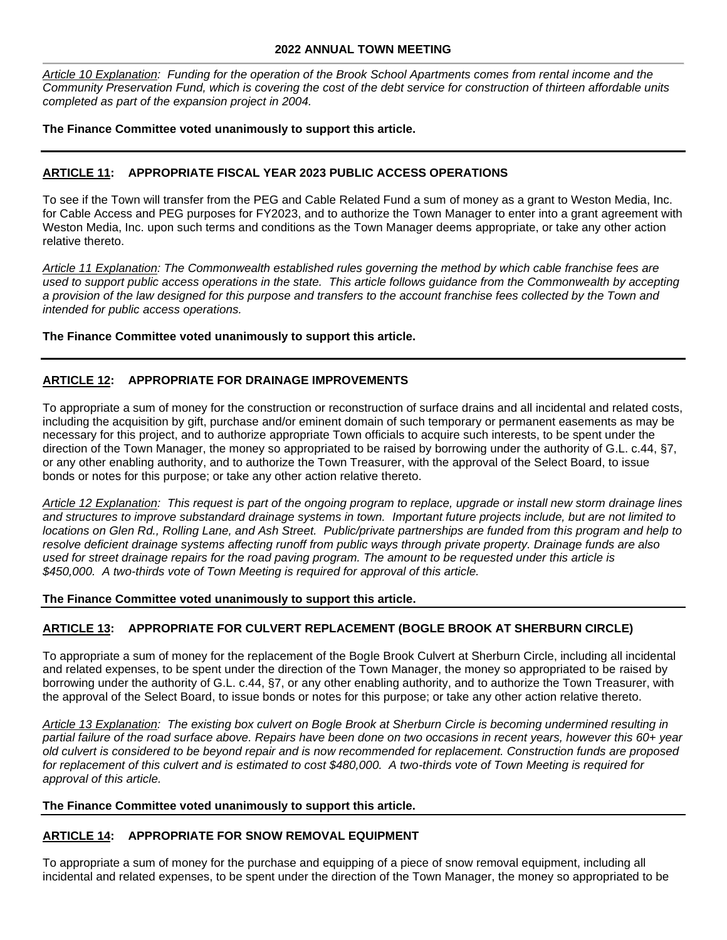*Article 10 Explanation: Funding for the operation of the Brook School Apartments comes from rental income and the Community Preservation Fund, which is covering the cost of the debt service for construction of thirteen affordable units completed as part of the expansion project in 2004.*

**The Finance Committee voted unanimously to support this article.**

## **ARTICLE 11: APPROPRIATE FISCAL YEAR 2023 PUBLIC ACCESS OPERATIONS**

To see if the Town will transfer from the PEG and Cable Related Fund a sum of money as a grant to Weston Media, Inc. for Cable Access and PEG purposes for FY2023, and to authorize the Town Manager to enter into a grant agreement with Weston Media, Inc. upon such terms and conditions as the Town Manager deems appropriate, or take any other action relative thereto.

*Article 11 Explanation: The Commonwealth established rules governing the method by which cable franchise fees are used to support public access operations in the state. This article follows guidance from the Commonwealth by accepting a provision of the law designed for this purpose and transfers to the account franchise fees collected by the Town and intended for public access operations.* 

## **The Finance Committee voted unanimously to support this article.**

# **ARTICLE 12: APPROPRIATE FOR DRAINAGE IMPROVEMENTS**

To appropriate a sum of money for the construction or reconstruction of surface drains and all incidental and related costs, including the acquisition by gift, purchase and/or eminent domain of such temporary or permanent easements as may be necessary for this project, and to authorize appropriate Town officials to acquire such interests, to be spent under the direction of the Town Manager, the money so appropriated to be raised by borrowing under the authority of G.L. c.44, §7, or any other enabling authority, and to authorize the Town Treasurer, with the approval of the Select Board, to issue bonds or notes for this purpose; or take any other action relative thereto.

*Article 12 Explanation: This request is part of the ongoing program to replace, upgrade or install new storm drainage lines and structures to improve substandard drainage systems in town. Important future projects include, but are not limited to locations on Glen Rd., Rolling Lane, and Ash Street. Public/private partnerships are funded from this program and help to resolve deficient drainage systems affecting runoff from public ways through private property. Drainage funds are also used for street drainage repairs for the road paving program. The amount to be requested under this article is \$450,000. A two-thirds vote of Town Meeting is required for approval of this article.*

#### **The Finance Committee voted unanimously to support this article.**

## **ARTICLE 13: APPROPRIATE FOR CULVERT REPLACEMENT (BOGLE BROOK AT SHERBURN CIRCLE)**

To appropriate a sum of money for the replacement of the Bogle Brook Culvert at Sherburn Circle, including all incidental and related expenses, to be spent under the direction of the Town Manager, the money so appropriated to be raised by borrowing under the authority of G.L. c.44, §7, or any other enabling authority, and to authorize the Town Treasurer, with the approval of the Select Board, to issue bonds or notes for this purpose; or take any other action relative thereto.

*Article 13 Explanation: The existing box culvert on Bogle Brook at Sherburn Circle is becoming undermined resulting in partial failure of the road surface above. Repairs have been done on two occasions in recent years, however this 60+ year old culvert is considered to be beyond repair and is now recommended for replacement. Construction funds are proposed for replacement of this culvert and is estimated to cost \$480,000. A two-thirds vote of Town Meeting is required for approval of this article.*

#### **The Finance Committee voted unanimously to support this article.**

## **ARTICLE 14: APPROPRIATE FOR SNOW REMOVAL EQUIPMENT**

To appropriate a sum of money for the purchase and equipping of a piece of snow removal equipment, including all incidental and related expenses, to be spent under the direction of the Town Manager, the money so appropriated to be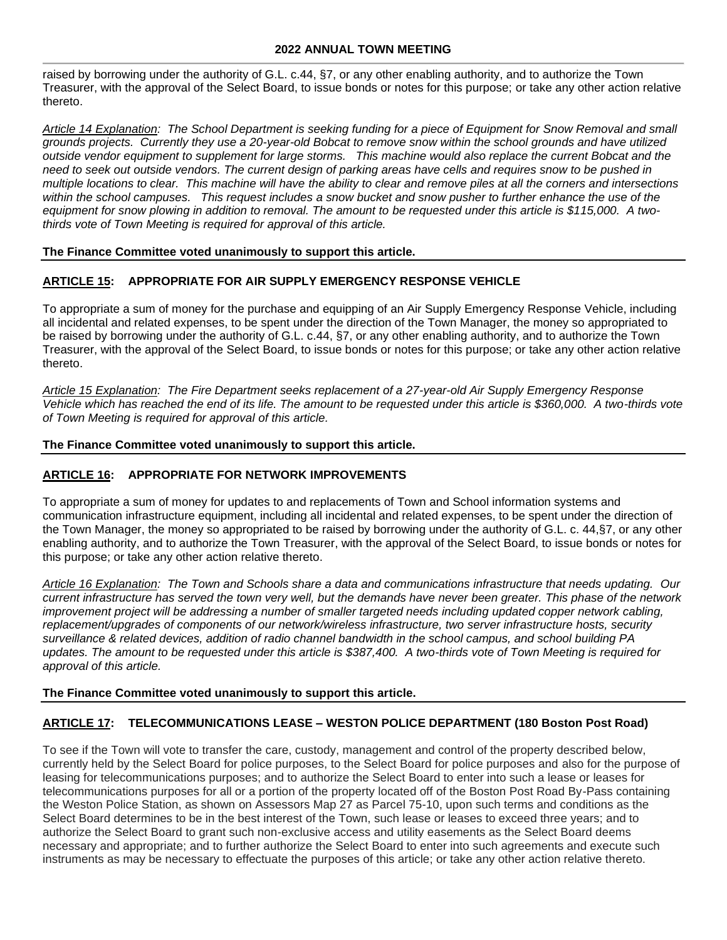raised by borrowing under the authority of G.L. c.44, §7, or any other enabling authority, and to authorize the Town Treasurer, with the approval of the Select Board, to issue bonds or notes for this purpose; or take any other action relative thereto.

*Article 14 Explanation: The School Department is seeking funding for a piece of Equipment for Snow Removal and small grounds projects. Currently they use a 20-year-old Bobcat to remove snow within the school grounds and have utilized outside vendor equipment to supplement for large storms. This machine would also replace the current Bobcat and the need to seek out outside vendors. The current design of parking areas have cells and requires snow to be pushed in multiple locations to clear. This machine will have the ability to clear and remove piles at all the corners and intersections*  within the school campuses. This request includes a snow bucket and snow pusher to further enhance the use of the *equipment for snow plowing in addition to removal. The amount to be requested under this article is \$115,000. A twothirds vote of Town Meeting is required for approval of this article.*

## **The Finance Committee voted unanimously to support this article.**

## **ARTICLE 15: APPROPRIATE FOR AIR SUPPLY EMERGENCY RESPONSE VEHICLE**

To appropriate a sum of money for the purchase and equipping of an Air Supply Emergency Response Vehicle, including all incidental and related expenses, to be spent under the direction of the Town Manager, the money so appropriated to be raised by borrowing under the authority of G.L. c.44, §7, or any other enabling authority, and to authorize the Town Treasurer, with the approval of the Select Board, to issue bonds or notes for this purpose; or take any other action relative thereto.

*Article 15 Explanation: The Fire Department seeks replacement of a 27-year-old Air Supply Emergency Response Vehicle which has reached the end of its life. The amount to be requested under this article is \$360,000. A two-thirds vote of Town Meeting is required for approval of this article.*

## **The Finance Committee voted unanimously to support this article.**

## **ARTICLE 16: APPROPRIATE FOR NETWORK IMPROVEMENTS**

To appropriate a sum of money for updates to and replacements of Town and School information systems and communication infrastructure equipment, including all incidental and related expenses, to be spent under the direction of the Town Manager, the money so appropriated to be raised by borrowing under the authority of G.L. c. 44,§7, or any other enabling authority, and to authorize the Town Treasurer, with the approval of the Select Board, to issue bonds or notes for this purpose; or take any other action relative thereto.

*Article 16 Explanation: The Town and Schools share a data and communications infrastructure that needs updating. Our current infrastructure has served the town very well, but the demands have never been greater. This phase of the network improvement project will be addressing a number of smaller targeted needs including updated copper network cabling, replacement/upgrades of components of our network/wireless infrastructure, two server infrastructure hosts, security surveillance & related devices, addition of radio channel bandwidth in the school campus, and school building PA updates. The amount to be requested under this article is \$387,400. A two-thirds vote of Town Meeting is required for approval of this article.*

#### **The Finance Committee voted unanimously to support this article.**

## **ARTICLE 17: TELECOMMUNICATIONS LEASE – WESTON POLICE DEPARTMENT (180 Boston Post Road)**

To see if the Town will vote to transfer the care, custody, management and control of the property described below, currently held by the Select Board for police purposes, to the Select Board for police purposes and also for the purpose of leasing for telecommunications purposes; and to authorize the Select Board to enter into such a lease or leases for telecommunications purposes for all or a portion of the property located off of the Boston Post Road By-Pass containing the Weston Police Station, as shown on Assessors Map 27 as Parcel 75-10, upon such terms and conditions as the Select Board determines to be in the best interest of the Town, such lease or leases to exceed three years; and to authorize the Select Board to grant such non-exclusive access and utility easements as the Select Board deems necessary and appropriate; and to further authorize the Select Board to enter into such agreements and execute such instruments as may be necessary to effectuate the purposes of this article; or take any other action relative thereto.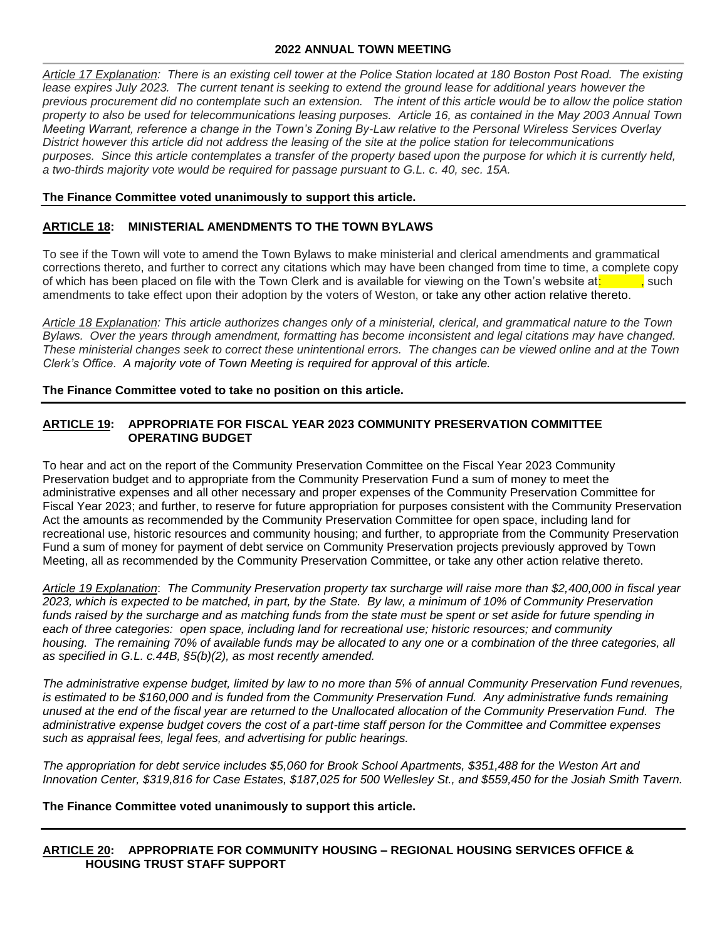*Article 17 Explanation: There is an existing cell tower at the Police Station located at 180 Boston Post Road. The existing*  lease expires July 2023. The current tenant is seeking to extend the ground lease for additional years however the *previous procurement did no contemplate such an extension. The intent of this article would be to allow the police station property to also be used for telecommunications leasing purposes. Article 16, as contained in the May 2003 Annual Town Meeting Warrant, reference a change in the Town's Zoning By-Law relative to the Personal Wireless Services Overlay District however this article did not address the leasing of the site at the police station for telecommunications purposes. Since this article contemplates a transfer of the property based upon the purpose for which it is currently held, a two-thirds majority vote would be required for passage pursuant to G.L. c. 40, sec. 15A.*

## **The Finance Committee voted unanimously to support this article.**

## **ARTICLE 18: MINISTERIAL AMENDMENTS TO THE TOWN BYLAWS**

To see if the Town will vote to amend the Town Bylaws to make ministerial and clerical amendments and grammatical corrections thereto, and further to correct any citations which may have been changed from time to time, a complete copy of which has been placed on file with the Town Clerk and is available for viewing on the Town's website at:  $\frac{1}{1}$ , such amendments to take effect upon their adoption by the voters of Weston, or take any other action relative thereto.

*Article 18 Explanation: This article authorizes changes only of a ministerial, clerical, and grammatical nature to the Town Bylaws. Over the years through amendment, formatting has become inconsistent and legal citations may have changed. These ministerial changes seek to correct these unintentional errors. The changes can be viewed online and at the Town Clerk's Office. A majority vote of Town Meeting is required for approval of this article.*

**The Finance Committee voted to take no position on this article.**

## **ARTICLE 19: APPROPRIATE FOR FISCAL YEAR 2023 COMMUNITY PRESERVATION COMMITTEE OPERATING BUDGET**

To hear and act on the report of the Community Preservation Committee on the Fiscal Year 2023 Community Preservation budget and to appropriate from the Community Preservation Fund a sum of money to meet the administrative expenses and all other necessary and proper expenses of the Community Preservation Committee for Fiscal Year 2023; and further, to reserve for future appropriation for purposes consistent with the Community Preservation Act the amounts as recommended by the Community Preservation Committee for open space, including land for recreational use, historic resources and community housing; and further, to appropriate from the Community Preservation Fund a sum of money for payment of debt service on Community Preservation projects previously approved by Town Meeting, all as recommended by the Community Preservation Committee, or take any other action relative thereto.

*Article 19 Explanation*: *The Community Preservation property tax surcharge will raise more than \$2,400,000 in fiscal year 2023, which is expected to be matched, in part, by the State. By law, a minimum of 10% of Community Preservation*  funds raised by the surcharge and as matching funds from the state must be spent or set aside for future spending in *each of three categories: open space, including land for recreational use; historic resources; and community housing. The remaining 70% of available funds may be allocated to any one or a combination of the three categories, all as specified in G.L. c.44B, §5(b)(2), as most recently amended.*

*The administrative expense budget, limited by law to no more than 5% of annual Community Preservation Fund revenues, is estimated to be \$160,000 and is funded from the Community Preservation Fund. Any administrative funds remaining unused at the end of the fiscal year are returned to the Unallocated allocation of the Community Preservation Fund. The administrative expense budget covers the cost of a part-time staff person for the Committee and Committee expenses such as appraisal fees, legal fees, and advertising for public hearings.*

*The appropriation for debt service includes \$5,060 for Brook School Apartments, \$351,488 for the Weston Art and Innovation Center, \$319,816 for Case Estates, \$187,025 for 500 Wellesley St., and \$559,450 for the Josiah Smith Tavern.*

#### **The Finance Committee voted unanimously to support this article.**

**ARTICLE 20: APPROPRIATE FOR COMMUNITY HOUSING – REGIONAL HOUSING SERVICES OFFICE & HOUSING TRUST STAFF SUPPORT**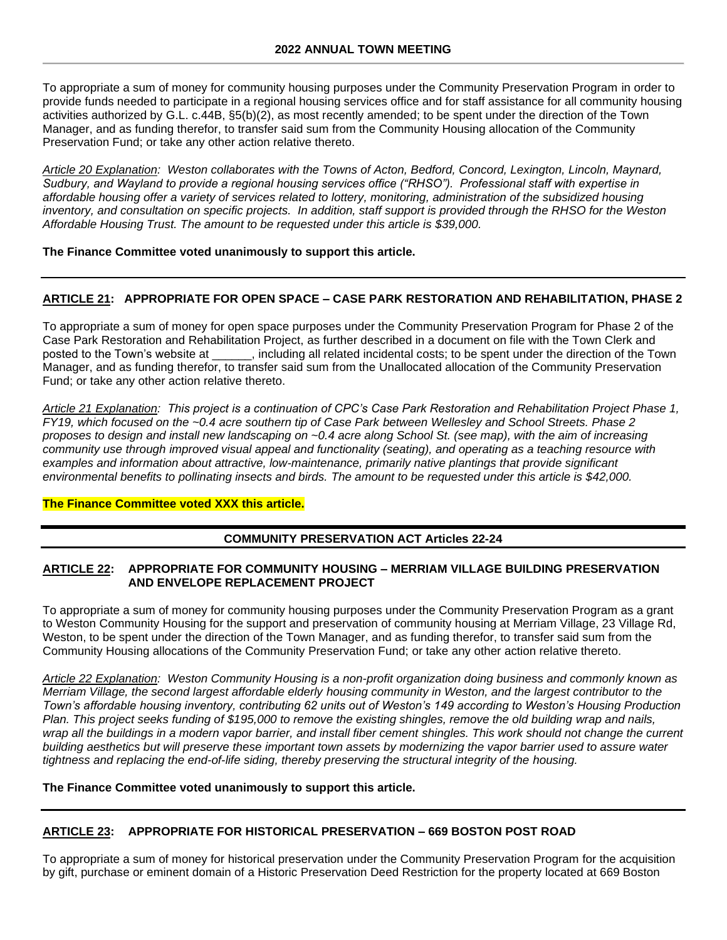To appropriate a sum of money for community housing purposes under the Community Preservation Program in order to provide funds needed to participate in a regional housing services office and for staff assistance for all community housing activities authorized by G.L. c.44B, §5(b)(2), as most recently amended; to be spent under the direction of the Town Manager, and as funding therefor, to transfer said sum from the Community Housing allocation of the Community Preservation Fund; or take any other action relative thereto.

*Article 20 Explanation: Weston collaborates with the Towns of Acton, Bedford, Concord, Lexington, Lincoln, Maynard, Sudbury, and Wayland to provide a regional housing services office ("RHSO"). Professional staff with expertise in affordable housing offer a variety of services related to lottery, monitoring, administration of the subsidized housing inventory, and consultation on specific projects. In addition, staff support is provided through the RHSO for the Weston Affordable Housing Trust. The amount to be requested under this article is \$39,000.*

#### **The Finance Committee voted unanimously to support this article.**

## **ARTICLE 21: APPROPRIATE FOR OPEN SPACE – CASE PARK RESTORATION AND REHABILITATION, PHASE 2**

To appropriate a sum of money for open space purposes under the Community Preservation Program for Phase 2 of the Case Park Restoration and Rehabilitation Project, as further described in a document on file with the Town Clerk and posted to the Town's website at \_\_\_\_\_\_, including all related incidental costs; to be spent under the direction of the Town Manager, and as funding therefor, to transfer said sum from the Unallocated allocation of the Community Preservation Fund; or take any other action relative thereto.

*Article 21 Explanation: This project is a continuation of CPC's Case Park Restoration and Rehabilitation Project Phase 1, FY19, which focused on the ~0.4 acre southern tip of Case Park between Wellesley and School Streets. Phase 2 proposes to design and install new landscaping on ~0.4 acre along School St. (see map), with the aim of increasing community use through improved visual appeal and functionality (seating), and operating as a teaching resource with examples and information about attractive, low-maintenance, primarily native plantings that provide significant environmental benefits to pollinating insects and birds. The amount to be requested under this article is \$42,000.*

#### **The Finance Committee voted XXX this article.**

## **COMMUNITY PRESERVATION ACT Articles 22-24**

## **ARTICLE 22: APPROPRIATE FOR COMMUNITY HOUSING – MERRIAM VILLAGE BUILDING PRESERVATION AND ENVELOPE REPLACEMENT PROJECT**

To appropriate a sum of money for community housing purposes under the Community Preservation Program as a grant to Weston Community Housing for the support and preservation of community housing at Merriam Village, 23 Village Rd, Weston, to be spent under the direction of the Town Manager, and as funding therefor, to transfer said sum from the Community Housing allocations of the Community Preservation Fund; or take any other action relative thereto.

*Article 22 Explanation: Weston Community Housing is a non-profit organization doing business and commonly known as Merriam Village, the second largest affordable elderly housing community in Weston, and the largest contributor to the Town's affordable housing inventory, contributing 62 units out of Weston's 149 according to Weston's Housing Production Plan. This project seeks funding of \$195,000 to remove the existing shingles, remove the old building wrap and nails, wrap all the buildings in a modern vapor barrier, and install fiber cement shingles. This work should not change the current building aesthetics but will preserve these important town assets by modernizing the vapor barrier used to assure water tightness and replacing the end-of-life siding, thereby preserving the structural integrity of the housing.* 

#### **The Finance Committee voted unanimously to support this article.**

## **ARTICLE 23: APPROPRIATE FOR HISTORICAL PRESERVATION – 669 BOSTON POST ROAD**

To appropriate a sum of money for historical preservation under the Community Preservation Program for the acquisition by gift, purchase or eminent domain of a Historic Preservation Deed Restriction for the property located at 669 Boston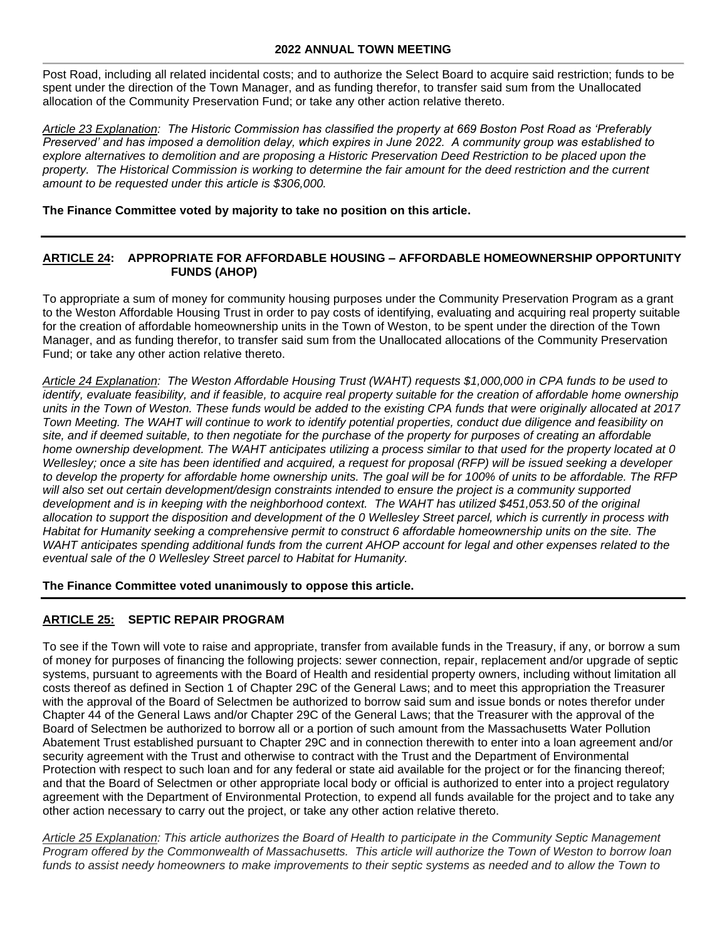Post Road, including all related incidental costs; and to authorize the Select Board to acquire said restriction; funds to be spent under the direction of the Town Manager, and as funding therefor, to transfer said sum from the Unallocated allocation of the Community Preservation Fund; or take any other action relative thereto.

*Article 23 Explanation: The Historic Commission has classified the property at 669 Boston Post Road as 'Preferably Preserved' and has imposed a demolition delay, which expires in June 2022. A community group was established to*  explore alternatives to demolition and are proposing a Historic Preservation Deed Restriction to be placed upon the *property. The Historical Commission is working to determine the fair amount for the deed restriction and the current amount to be requested under this article is \$306,000.* 

**The Finance Committee voted by majority to take no position on this article.**

## **ARTICLE 24: APPROPRIATE FOR AFFORDABLE HOUSING – AFFORDABLE HOMEOWNERSHIP OPPORTUNITY FUNDS (AHOP)**

To appropriate a sum of money for community housing purposes under the Community Preservation Program as a grant to the Weston Affordable Housing Trust in order to pay costs of identifying, evaluating and acquiring real property suitable for the creation of affordable homeownership units in the Town of Weston, to be spent under the direction of the Town Manager, and as funding therefor, to transfer said sum from the Unallocated allocations of the Community Preservation Fund; or take any other action relative thereto.

*Article 24 Explanation: The Weston Affordable Housing Trust (WAHT) requests \$1,000,000 in CPA funds to be used to identify, evaluate feasibility, and if feasible, to acquire real property suitable for the creation of affordable home ownership units in the Town of Weston. These funds would be added to the existing CPA funds that were originally allocated at 2017 Town Meeting. The WAHT will continue to work to identify potential properties, conduct due diligence and feasibility on site, and if deemed suitable, to then negotiate for the purchase of the property for purposes of creating an affordable home ownership development. The WAHT anticipates utilizing a process similar to that used for the property located at 0 Wellesley; once a site has been identified and acquired, a request for proposal (RFP) will be issued seeking a developer to develop the property for affordable home ownership units. The goal will be for 100% of units to be affordable. The RFP*  will also set out certain development/design constraints intended to ensure the project is a community supported development and is in keeping with the neighborhood context. The WAHT has utilized \$451,053.50 of the original *allocation to support the disposition and development of the 0 Wellesley Street parcel, which is currently in process with*  Habitat for Humanity seeking a comprehensive permit to construct 6 affordable homeownership units on the site. The *WAHT anticipates spending additional funds from the current AHOP account for legal and other expenses related to the eventual sale of the 0 Wellesley Street parcel to Habitat for Humanity.*

**The Finance Committee voted unanimously to oppose this article.**

## **ARTICLE 25: SEPTIC REPAIR PROGRAM**

To see if the Town will vote to raise and appropriate, transfer from available funds in the Treasury, if any, or borrow a sum of money for purposes of financing the following projects: sewer connection, repair, replacement and/or upgrade of septic systems, pursuant to agreements with the Board of Health and residential property owners, including without limitation all costs thereof as defined in Section 1 of Chapter 29C of the General Laws; and to meet this appropriation the Treasurer with the approval of the Board of Selectmen be authorized to borrow said sum and issue bonds or notes therefor under Chapter 44 of the General Laws and/or Chapter 29C of the General Laws; that the Treasurer with the approval of the Board of Selectmen be authorized to borrow all or a portion of such amount from the Massachusetts Water Pollution Abatement Trust established pursuant to Chapter 29C and in connection therewith to enter into a loan agreement and/or security agreement with the Trust and otherwise to contract with the Trust and the Department of Environmental Protection with respect to such loan and for any federal or state aid available for the project or for the financing thereof; and that the Board of Selectmen or other appropriate local body or official is authorized to enter into a project regulatory agreement with the Department of Environmental Protection, to expend all funds available for the project and to take any other action necessary to carry out the project, or take any other action relative thereto.

*Article 25 Explanation: This article authorizes the Board of Health to participate in the Community Septic Management Program offered by the Commonwealth of Massachusetts. This article will authorize the Town of Weston to borrow loan*  funds to assist needy homeowners to make improvements to their septic systems as needed and to allow the Town to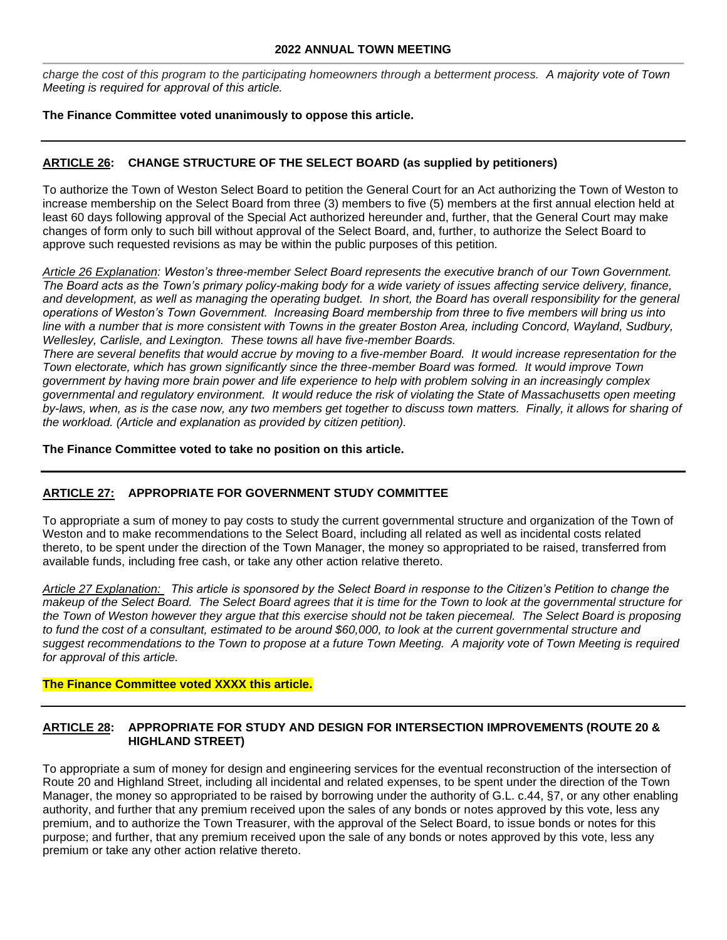*charge the cost of this program to the participating homeowners through a betterment process. A majority vote of Town Meeting is required for approval of this article.*

## **The Finance Committee voted unanimously to oppose this article.**

## **ARTICLE 26: CHANGE STRUCTURE OF THE SELECT BOARD (as supplied by petitioners)**

To authorize the Town of Weston Select Board to petition the General Court for an Act authorizing the Town of Weston to increase membership on the Select Board from three (3) members to five (5) members at the first annual election held at least 60 days following approval of the Special Act authorized hereunder and, further, that the General Court may make changes of form only to such bill without approval of the Select Board, and, further, to authorize the Select Board to approve such requested revisions as may be within the public purposes of this petition.

*Article 26 Explanation: Weston's three-member Select Board represents the executive branch of our Town Government. The Board acts as the Town's primary policy-making body for a wide variety of issues affecting service delivery, finance,*  and development, as well as managing the operating budget. In short, the Board has overall responsibility for the general *operations of Weston's Town Government. Increasing Board membership from three to five members will bring us into line with a number that is more consistent with Towns in the greater Boston Area, including Concord, Wayland, Sudbury, Wellesley, Carlisle, and Lexington. These towns all have five-member Boards.*

*There are several benefits that would accrue by moving to a five-member Board. It would increase representation for the Town electorate, which has grown significantly since the three-member Board was formed. It would improve Town government by having more brain power and life experience to help with problem solving in an increasingly complex governmental and regulatory environment. It would reduce the risk of violating the State of Massachusetts open meeting by-laws, when, as is the case now, any two members get together to discuss town matters. Finally, it allows for sharing of the workload. (Article and explanation as provided by citizen petition).*

**The Finance Committee voted to take no position on this article.**

# **ARTICLE 27: APPROPRIATE FOR GOVERNMENT STUDY COMMITTEE**

To appropriate a sum of money to pay costs to study the current governmental structure and organization of the Town of Weston and to make recommendations to the Select Board, including all related as well as incidental costs related thereto, to be spent under the direction of the Town Manager, the money so appropriated to be raised, transferred from available funds, including free cash, or take any other action relative thereto.

*Article 27 Explanation: This article is sponsored by the Select Board in response to the Citizen's Petition to change the makeup of the Select Board. The Select Board agrees that it is time for the Town to look at the governmental structure for the Town of Weston however they argue that this exercise should not be taken piecemeal. The Select Board is proposing*  to fund the cost of a consultant, estimated to be around \$60,000, to look at the current governmental structure and suggest recommendations to the Town to propose at a future Town Meeting. A majority vote of Town Meeting is required *for approval of this article.*

#### **The Finance Committee voted XXXX this article.**

## **ARTICLE 28: APPROPRIATE FOR STUDY AND DESIGN FOR INTERSECTION IMPROVEMENTS (ROUTE 20 & HIGHLAND STREET)**

To appropriate a sum of money for design and engineering services for the eventual reconstruction of the intersection of Route 20 and Highland Street, including all incidental and related expenses, to be spent under the direction of the Town Manager, the money so appropriated to be raised by borrowing under the authority of G.L. c.44, §7, or any other enabling authority, and further that any premium received upon the sales of any bonds or notes approved by this vote, less any premium, and to authorize the Town Treasurer, with the approval of the Select Board, to issue bonds or notes for this purpose; and further, that any premium received upon the sale of any bonds or notes approved by this vote, less any premium or take any other action relative thereto.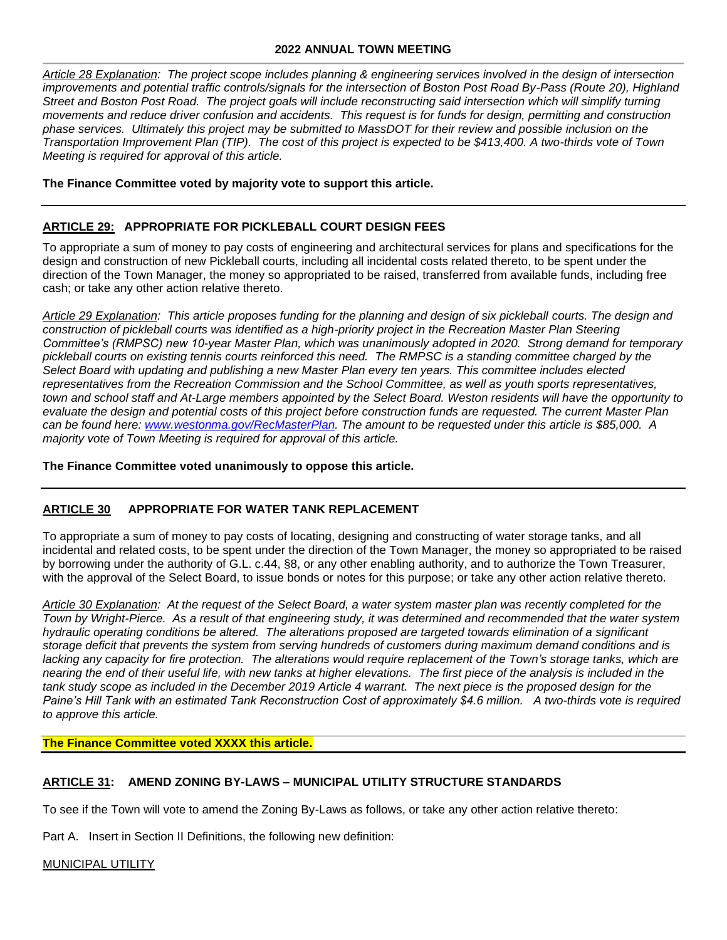*Article 28 Explanation: The project scope includes planning & engineering services involved in the design of intersection improvements and potential traffic controls/signals for the intersection of Boston Post Road By-Pass (Route 20), Highland Street and Boston Post Road. The project goals will include reconstructing said intersection which will simplify turning movements and reduce driver confusion and accidents. This request is for funds for design, permitting and construction phase services. Ultimately this project may be submitted to MassDOT for their review and possible inclusion on the Transportation Improvement Plan (TIP). The cost of this project is expected to be \$413,400. A two-thirds vote of Town Meeting is required for approval of this article.*

#### **The Finance Committee voted by majority vote to support this article.**

## **ARTICLE 29: APPROPRIATE FOR PICKLEBALL COURT DESIGN FEES**

To appropriate a sum of money to pay costs of engineering and architectural services for plans and specifications for the design and construction of new Pickleball courts, including all incidental costs related thereto, to be spent under the direction of the Town Manager, the money so appropriated to be raised, transferred from available funds, including free cash; or take any other action relative thereto.

*Article 29 Explanation: This article proposes funding for the planning and design of six pickleball courts. The design and construction of pickleball courts was identified as a high-priority project in the Recreation Master Plan Steering Committee's (RMPSC) new 10-year Master Plan, which was unanimously adopted in 2020. Strong demand for temporary pickleball courts on existing tennis courts reinforced this need. The RMPSC is a standing committee charged by the Select Board with updating and publishing a new Master Plan every ten years. This committee includes elected representatives from the Recreation Commission and the School Committee, as well as youth sports representatives, town and school staff and At-Large members appointed by the Select Board. Weston residents will have the opportunity to evaluate the design and potential costs of this project before construction funds are requested. The current Master Plan can be found here: [www.westonma.gov/RecMasterPlan.](https://smex-ctp.trendmicro.com/wis/clicktime/v1/query?url=https%3a%2f%2flinkprotect.cudasvc.com%2furl%3fa%3dhttp%253a%252f%252fwww.westonma.gov%252fRecMasterPlan%26c%3dE%2c1%2cCgr60%2dR7Bm5fEftXWSqvYsPRMGpqfzjyAYZpg5y%2dXs3b2p6SpZ%2dkNph9tYGeDu%2dhi%5ft%5fTZCfA3%2dPCa5En8QB0j%2dRjGxSHOaYS4wxvWmtgYYKLVGe%26typo%3d1&umid=50829fa5-4940-434b-82f7-85e808c39bb9&auth=7f6487e51aa756612106561eaf00917b87185541-055d755f3c778add468d03eb7fabff74083729dd) The amount to be requested under this article is \$85,000. A majority vote of Town Meeting is required for approval of this article.*

**The Finance Committee voted unanimously to oppose this article.**

## **ARTICLE 30 APPROPRIATE FOR WATER TANK REPLACEMENT**

To appropriate a sum of money to pay costs of locating, designing and constructing of water storage tanks, and all incidental and related costs, to be spent under the direction of the Town Manager, the money so appropriated to be raised by borrowing under the authority of G.L. c.44, §8, or any other enabling authority, and to authorize the Town Treasurer, with the approval of the Select Board, to issue bonds or notes for this purpose; or take any other action relative thereto.

*Article 30 Explanation: At the request of the Select Board, a water system master plan was recently completed for the Town by Wright-Pierce. As a result of that engineering study, it was determined and recommended that the water system hydraulic operating conditions be altered. The alterations proposed are targeted towards elimination of a significant storage deficit that prevents the system from serving hundreds of customers during maximum demand conditions and is*  lacking any capacity for fire protection. The alterations would require replacement of the Town's storage tanks, which are *nearing the end of their useful life, with new tanks at higher elevations. The first piece of the analysis is included in the*  tank study scope as included in the December 2019 Article 4 warrant. The next piece is the proposed design for the *Paine's Hill Tank with an estimated Tank Reconstruction Cost of approximately \$4.6 million. A two-thirds vote is required to approve this article.* 

**The Finance Committee voted XXXX this article.**

#### **ARTICLE 31: AMEND ZONING BY-LAWS – MUNICIPAL UTILITY STRUCTURE STANDARDS**

To see if the Town will vote to amend the Zoning By-Laws as follows, or take any other action relative thereto:

Part A. Insert in Section II Definitions, the following new definition:

MUNICIPAL UTILITY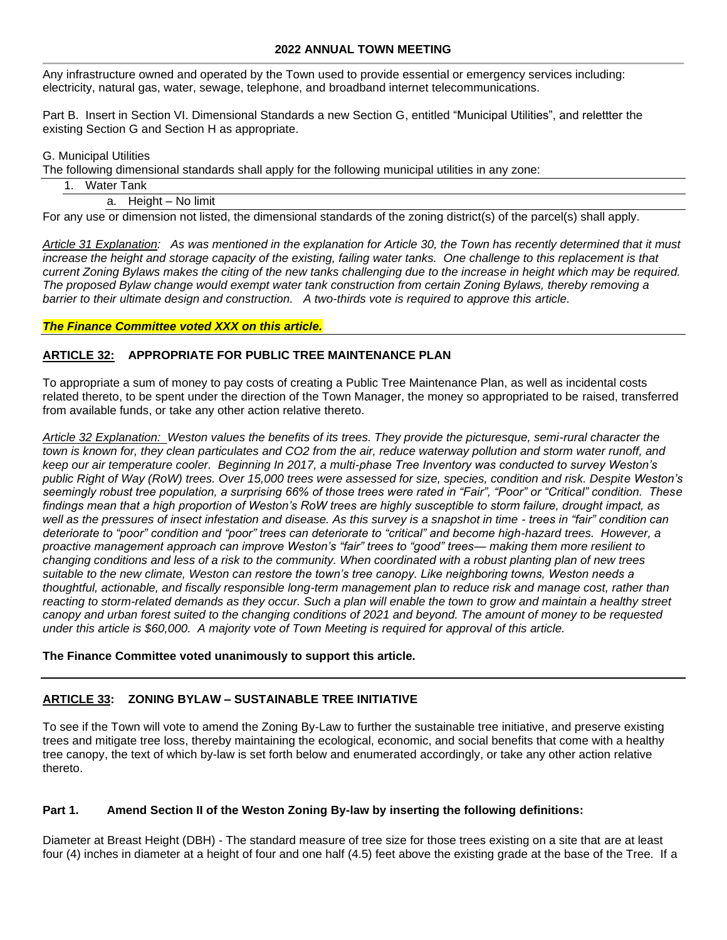Any infrastructure owned and operated by the Town used to provide essential or emergency services including: electricity, natural gas, water, sewage, telephone, and broadband internet telecommunications.

Part B. Insert in Section VI. Dimensional Standards a new Section G, entitled "Municipal Utilities", and relettter the existing Section G and Section H as appropriate.

#### G. Municipal Utilities

The following dimensional standards shall apply for the following municipal utilities in any zone:

|--|

a. Height – No limit

For any use or dimension not listed, the dimensional standards of the zoning district(s) of the parcel(s) shall apply.

*Article 31 Explanation: As was mentioned in the explanation for Article 30, the Town has recently determined that it must increase the height and storage capacity of the existing, failing water tanks. One challenge to this replacement is that current Zoning Bylaws makes the citing of the new tanks challenging due to the increase in height which may be required. The proposed Bylaw change would exempt water tank construction from certain Zoning Bylaws, thereby removing a*  barrier to their ultimate design and construction. A two-thirds vote is required to approve this article.

## *The Finance Committee voted XXX on this article.*

## **ARTICLE 32: APPROPRIATE FOR PUBLIC TREE MAINTENANCE PLAN**

To appropriate a sum of money to pay costs of creating a Public Tree Maintenance Plan, as well as incidental costs related thereto, to be spent under the direction of the Town Manager, the money so appropriated to be raised, transferred from available funds, or take any other action relative thereto.

*Article 32 Explanation: Weston values the benefits of its trees. They provide the picturesque, semi-rural character the*  town is known for, they clean particulates and CO2 from the air, reduce waterway pollution and storm water runoff, and *keep our air temperature cooler. Beginning In 2017, a multi-phase Tree Inventory was conducted to survey Weston's public Right of Way (RoW) trees. Over 15,000 trees were assessed for size, species, condition and risk. Despite Weston's seemingly robust tree population, a surprising 66% of those trees were rated in "Fair", "Poor" or "Critical" condition. These findings mean that a high proportion of Weston's RoW trees are highly susceptible to storm failure, drought impact, as well as the pressures of insect infestation and disease. As this survey is a snapshot in time - trees in "fair" condition can deteriorate to "poor" condition and "poor" trees can deteriorate to "critical" and become high-hazard trees. However, a proactive management approach can improve Weston's "fair" trees to "good" trees— making them more resilient to changing conditions and less of a risk to the community. When coordinated with a robust planting plan of new trees suitable to the new climate, Weston can restore the town's tree canopy. Like neighboring towns, Weston needs a thoughtful, actionable, and fiscally responsible long-term management plan to reduce risk and manage cost, rather than*  reacting to storm-related demands as they occur. Such a plan will enable the town to grow and maintain a healthy street *canopy and urban forest suited to the changing conditions of 2021 and beyond. The amount of money to be requested under this article is \$60,000. A majority vote of Town Meeting is required for approval of this article.* 

#### **The Finance Committee voted unanimously to support this article.**

## **ARTICLE 33: ZONING BYLAW – SUSTAINABLE TREE INITIATIVE**

To see if the Town will vote to amend the Zoning By-Law to further the sustainable tree initiative, and preserve existing trees and mitigate tree loss, thereby maintaining the ecological, economic, and social benefits that come with a healthy tree canopy, the text of which by-law is set forth below and enumerated accordingly, or take any other action relative thereto.

## **Part 1. Amend Section II of the Weston Zoning By-law by inserting the following definitions:**

Diameter at Breast Height (DBH) - The standard measure of tree size for those trees existing on a site that are at least four (4) inches in diameter at a height of four and one half (4.5) feet above the existing grade at the base of the Tree. If a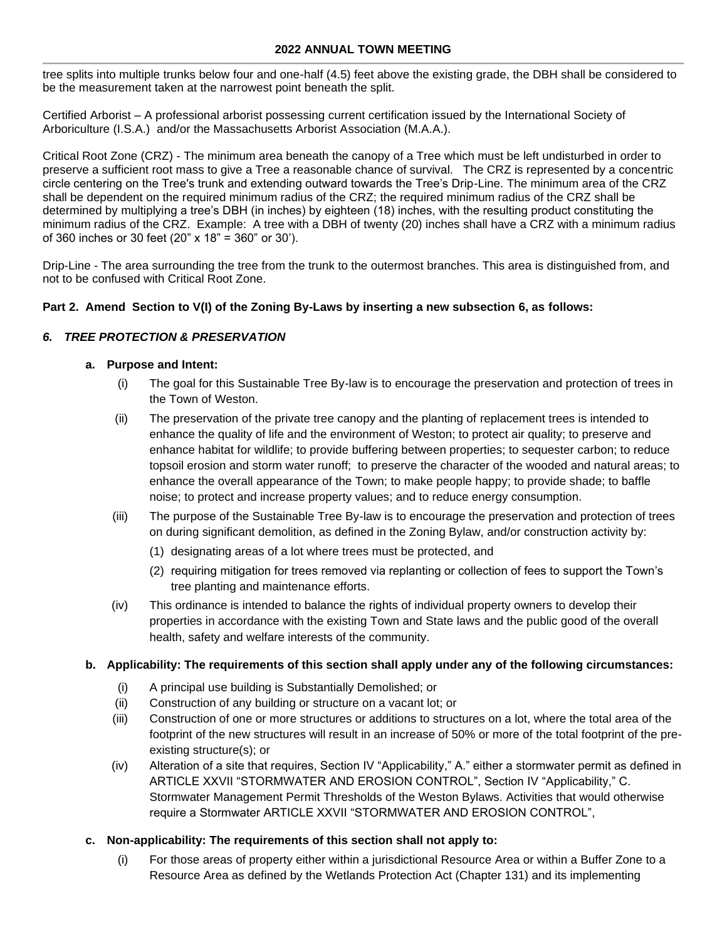tree splits into multiple trunks below four and one-half (4.5) feet above the existing grade, the DBH shall be considered to be the measurement taken at the narrowest point beneath the split.

Certified Arborist – A professional arborist possessing current certification issued by the International Society of Arboriculture (I.S.A.) and/or the Massachusetts Arborist Association (M.A.A.).

Critical Root Zone (CRZ) - The minimum area beneath the canopy of a Tree which must be left undisturbed in order to preserve a sufficient root mass to give a Tree a reasonable chance of survival. The CRZ is represented by a concentric circle centering on the Tree's trunk and extending outward towards the Tree's Drip-Line. The minimum area of the CRZ shall be dependent on the required minimum radius of the CRZ; the required minimum radius of the CRZ shall be determined by multiplying a tree's DBH (in inches) by eighteen (18) inches, with the resulting product constituting the minimum radius of the CRZ. Example: A tree with a DBH of twenty (20) inches shall have a CRZ with a minimum radius of 360 inches or 30 feet (20" x 18" = 360" or 30').

Drip-Line - The area surrounding the tree from the trunk to the outermost branches. This area is distinguished from, and not to be confused with Critical Root Zone.

## **Part 2. Amend Section to V(I) of the Zoning By-Laws by inserting a new subsection 6, as follows:**

## *6. TREE PROTECTION & PRESERVATION*

#### **a. Purpose and Intent:**

- (i) The goal for this Sustainable Tree By-law is to encourage the preservation and protection of trees in the Town of Weston.
- (ii) The preservation of the private tree canopy and the planting of replacement trees is intended to enhance the quality of life and the environment of Weston; to protect air quality; to preserve and enhance habitat for wildlife; to provide buffering between properties; to sequester carbon; to reduce topsoil erosion and storm water runoff; to preserve the character of the wooded and natural areas; to enhance the overall appearance of the Town; to make people happy; to provide shade; to baffle noise; to protect and increase property values; and to reduce energy consumption.
- (iii) The purpose of the Sustainable Tree By-law is to encourage the preservation and protection of trees on during significant demolition, as defined in the Zoning Bylaw, and/or construction activity by:
	- (1) designating areas of a lot where trees must be protected, and
	- (2) requiring mitigation for trees removed via replanting or collection of fees to support the Town's tree planting and maintenance efforts.
- (iv) This ordinance is intended to balance the rights of individual property owners to develop their properties in accordance with the existing Town and State laws and the public good of the overall health, safety and welfare interests of the community.

#### **b. Applicability: The requirements of this section shall apply under any of the following circumstances:**

- (i) A principal use building is Substantially Demolished; or
- (ii) Construction of any building or structure on a vacant lot; or
- (iii) Construction of one or more structures or additions to structures on a lot, where the total area of the footprint of the new structures will result in an increase of 50% or more of the total footprint of the preexisting structure(s); or
- (iv) Alteration of a site that requires, Section IV "Applicability," A." either a stormwater permit as defined in ARTICLE XXVII "STORMWATER AND EROSION CONTROL", Section IV "Applicability," C. Stormwater Management Permit Thresholds of the Weston Bylaws. Activities that would otherwise require a Stormwater ARTICLE XXVII "STORMWATER AND EROSION CONTROL",
- **c. Non-applicability: The requirements of this section shall not apply to:** 
	- (i) For those areas of property either within a jurisdictional Resource Area or within a Buffer Zone to a Resource Area as defined by the Wetlands Protection Act (Chapter 131) and its implementing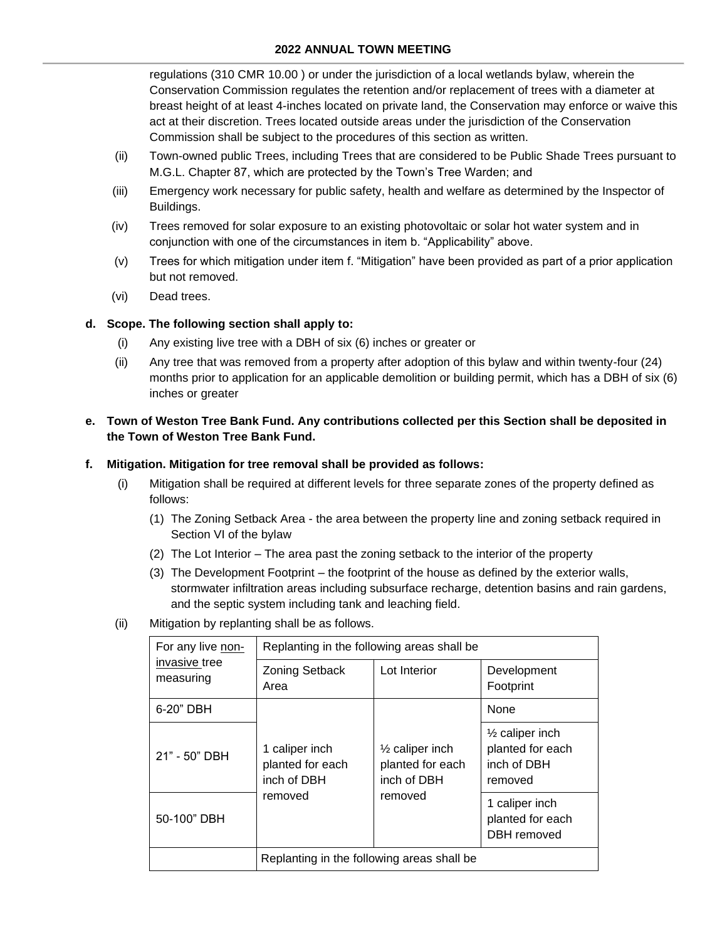regulations (310 CMR 10.00 ) or under the jurisdiction of a local wetlands bylaw, wherein the Conservation Commission regulates the retention and/or replacement of trees with a diameter at breast height of at least 4-inches located on private land, the Conservation may enforce or waive this act at their discretion. Trees located outside areas under the jurisdiction of the Conservation Commission shall be subject to the procedures of this section as written.

- (ii) Town-owned public Trees, including Trees that are considered to be Public Shade Trees pursuant to M.G.L. Chapter 87, which are protected by the Town's Tree Warden; and
- (iii) Emergency work necessary for public safety, health and welfare as determined by the Inspector of Buildings.
- (iv) Trees removed for solar exposure to an existing photovoltaic or solar hot water system and in conjunction with one of the circumstances in item b. "Applicability" above.
- (v) Trees for which mitigation under item f. "Mitigation" have been provided as part of a prior application but not removed.
- (vi) Dead trees.

## **d. Scope. The following section shall apply to:**

- (i) Any existing live tree with a DBH of six (6) inches or greater or
- (ii) Any tree that was removed from a property after adoption of this bylaw and within twenty-four (24) months prior to application for an applicable demolition or building permit, which has a DBH of six (6) inches or greater

## **e. Town of Weston Tree Bank Fund. Any contributions collected per this Section shall be deposited in the Town of Weston Tree Bank Fund.**

## **f. Mitigation. Mitigation for tree removal shall be provided as follows:**

- (i) Mitigation shall be required at different levels for three separate zones of the property defined as follows:
	- (1) The Zoning Setback Area the area between the property line and zoning setback required in Section VI of the bylaw
	- (2) The Lot Interior The area past the zoning setback to the interior of the property
	- (3) The Development Footprint the footprint of the house as defined by the exterior walls, stormwater infiltration areas including subsurface recharge, detention basins and rain gardens, and the septic system including tank and leaching field.
- (ii) Mitigation by replanting shall be as follows.

| For any live non-          | Replanting in the following areas shall be        |                                                               |                                                                          |  |  |  |  |
|----------------------------|---------------------------------------------------|---------------------------------------------------------------|--------------------------------------------------------------------------|--|--|--|--|
| invasive tree<br>measuring | <b>Zoning Setback</b><br>Area                     | Development<br>Footprint                                      |                                                                          |  |  |  |  |
| 6-20" DBH                  |                                                   |                                                               | None                                                                     |  |  |  |  |
| 21" - 50" DBH              | 1 caliper inch<br>planted for each<br>inch of DBH | $\frac{1}{2}$ caliper inch<br>planted for each<br>inch of DBH | $\frac{1}{2}$ caliper inch<br>planted for each<br>inch of DBH<br>removed |  |  |  |  |
| 50-100" DBH                | removed                                           | removed                                                       | 1 caliper inch<br>planted for each<br>DBH removed                        |  |  |  |  |
|                            | Replanting in the following areas shall be        |                                                               |                                                                          |  |  |  |  |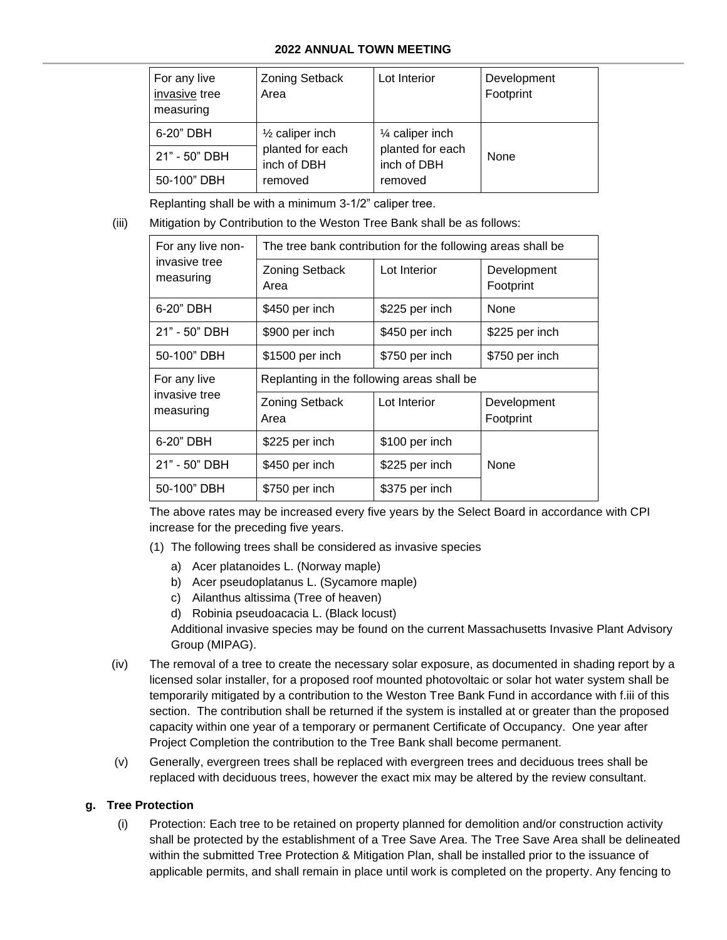| For any live<br>invasive tree<br>measuring | Zoning Setback<br>Area          | Lot Interior                    | Development<br>Footprint |  |  |
|--------------------------------------------|---------------------------------|---------------------------------|--------------------------|--|--|
| 6-20" DBH                                  | $\frac{1}{2}$ caliper inch      | 1⁄4 caliper inch                | None                     |  |  |
| 21" - 50" DBH                              | planted for each<br>inch of DBH | planted for each<br>inch of DBH |                          |  |  |
| 50-100" DBH                                | removed                         | removed                         |                          |  |  |

Replanting shall be with a minimum 3-1/2" caliper tree.

(iii) Mitigation by Contribution to the Weston Tree Bank shall be as follows:

| For any live non-          | The tree bank contribution for the following areas shall be |                |                          |  |  |  |  |  |  |
|----------------------------|-------------------------------------------------------------|----------------|--------------------------|--|--|--|--|--|--|
| invasive tree<br>measuring | <b>Zoning Setback</b><br>Area                               | Lot Interior   | Development<br>Footprint |  |  |  |  |  |  |
| 6-20" DBH                  | \$450 per inch                                              | \$225 per inch | None                     |  |  |  |  |  |  |
| 21" - 50" DBH              | \$900 per inch                                              | \$450 per inch | \$225 per inch           |  |  |  |  |  |  |
| 50-100" DBH                | \$1500 per inch                                             | \$750 per inch | \$750 per inch           |  |  |  |  |  |  |
| For any live               | Replanting in the following areas shall be                  |                |                          |  |  |  |  |  |  |
| invasive tree<br>measuring | <b>Zoning Setback</b><br>Area                               | Lot Interior   | Development<br>Footprint |  |  |  |  |  |  |
| 6-20" DBH                  | \$225 per inch                                              | \$100 per inch |                          |  |  |  |  |  |  |
| 21" - 50" DBH              | \$450 per inch                                              | \$225 per inch | None                     |  |  |  |  |  |  |
| 50-100" DBH                | \$750 per inch                                              | \$375 per inch |                          |  |  |  |  |  |  |

The above rates may be increased every five years by the Select Board in accordance with CPI increase for the preceding five years.

- (1) The following trees shall be considered as invasive species
	- a) Acer platanoides L. (Norway maple)
	- b) Acer pseudoplatanus L. (Sycamore maple)
	- c) Ailanthus altissima (Tree of heaven)
	- d) Robinia pseudoacacia L. (Black locust)

Additional invasive species may be found on the current Massachusetts Invasive Plant Advisory Group (MIPAG).

- (iv) The removal of a tree to create the necessary solar exposure, as documented in shading report by a licensed solar installer, for a proposed roof mounted photovoltaic or solar hot water system shall be temporarily mitigated by a contribution to the Weston Tree Bank Fund in accordance with f.iii of this section. The contribution shall be returned if the system is installed at or greater than the proposed capacity within one year of a temporary or permanent Certificate of Occupancy. One year after Project Completion the contribution to the Tree Bank shall become permanent.
- (v) Generally, evergreen trees shall be replaced with evergreen trees and deciduous trees shall be replaced with deciduous trees, however the exact mix may be altered by the review consultant.

## **g. Tree Protection**

(i) Protection: Each tree to be retained on property planned for demolition and/or construction activity shall be protected by the establishment of a Tree Save Area. The Tree Save Area shall be delineated within the submitted Tree Protection & Mitigation Plan, shall be installed prior to the issuance of applicable permits, and shall remain in place until work is completed on the property. Any fencing to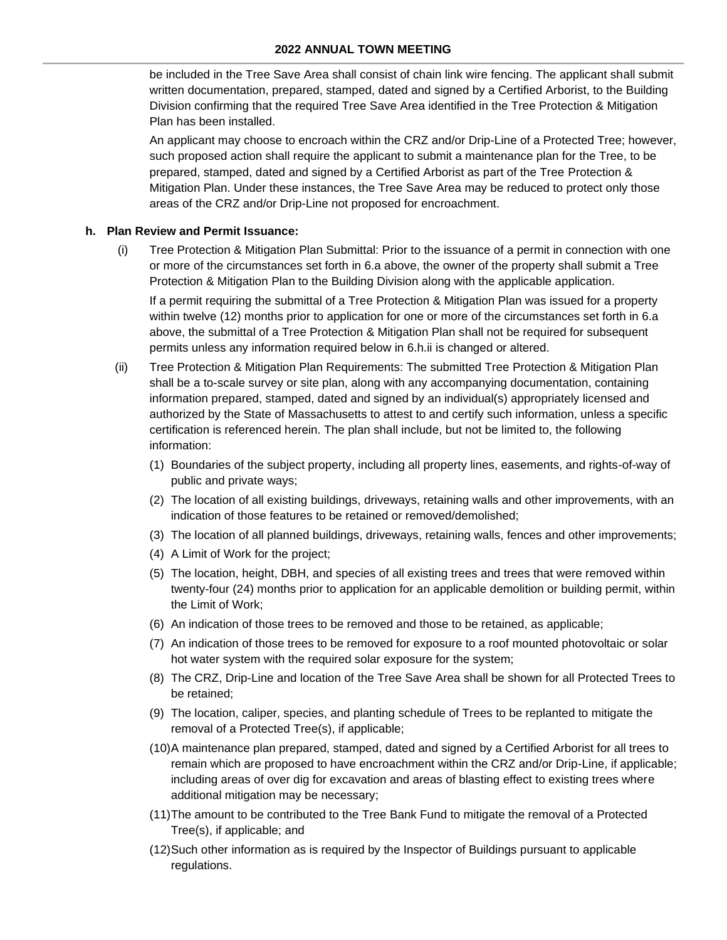be included in the Tree Save Area shall consist of chain link wire fencing. The applicant shall submit written documentation, prepared, stamped, dated and signed by a Certified Arborist, to the Building Division confirming that the required Tree Save Area identified in the Tree Protection & Mitigation Plan has been installed.

An applicant may choose to encroach within the CRZ and/or Drip-Line of a Protected Tree; however, such proposed action shall require the applicant to submit a maintenance plan for the Tree, to be prepared, stamped, dated and signed by a Certified Arborist as part of the Tree Protection & Mitigation Plan. Under these instances, the Tree Save Area may be reduced to protect only those areas of the CRZ and/or Drip-Line not proposed for encroachment.

#### **h. Plan Review and Permit Issuance:**

(i) Tree Protection & Mitigation Plan Submittal: Prior to the issuance of a permit in connection with one or more of the circumstances set forth in 6.a above, the owner of the property shall submit a Tree Protection & Mitigation Plan to the Building Division along with the applicable application.

If a permit requiring the submittal of a Tree Protection & Mitigation Plan was issued for a property within twelve (12) months prior to application for one or more of the circumstances set forth in 6.a above, the submittal of a Tree Protection & Mitigation Plan shall not be required for subsequent permits unless any information required below in 6.h.ii is changed or altered.

- (ii) Tree Protection & Mitigation Plan Requirements: The submitted Tree Protection & Mitigation Plan shall be a to-scale survey or site plan, along with any accompanying documentation, containing information prepared, stamped, dated and signed by an individual(s) appropriately licensed and authorized by the State of Massachusetts to attest to and certify such information, unless a specific certification is referenced herein. The plan shall include, but not be limited to, the following information:
	- (1) Boundaries of the subject property, including all property lines, easements, and rights-of-way of public and private ways;
	- (2) The location of all existing buildings, driveways, retaining walls and other improvements, with an indication of those features to be retained or removed/demolished;
	- (3) The location of all planned buildings, driveways, retaining walls, fences and other improvements;
	- (4) A Limit of Work for the project;
	- (5) The location, height, DBH, and species of all existing trees and trees that were removed within twenty-four (24) months prior to application for an applicable demolition or building permit, within the Limit of Work;
	- (6) An indication of those trees to be removed and those to be retained, as applicable;
	- (7) An indication of those trees to be removed for exposure to a roof mounted photovoltaic or solar hot water system with the required solar exposure for the system;
	- (8) The CRZ, Drip-Line and location of the Tree Save Area shall be shown for all Protected Trees to be retained;
	- (9) The location, caliper, species, and planting schedule of Trees to be replanted to mitigate the removal of a Protected Tree(s), if applicable;
	- (10)A maintenance plan prepared, stamped, dated and signed by a Certified Arborist for all trees to remain which are proposed to have encroachment within the CRZ and/or Drip-Line, if applicable; including areas of over dig for excavation and areas of blasting effect to existing trees where additional mitigation may be necessary;
	- (11)The amount to be contributed to the Tree Bank Fund to mitigate the removal of a Protected Tree(s), if applicable; and
	- (12)Such other information as is required by the Inspector of Buildings pursuant to applicable regulations.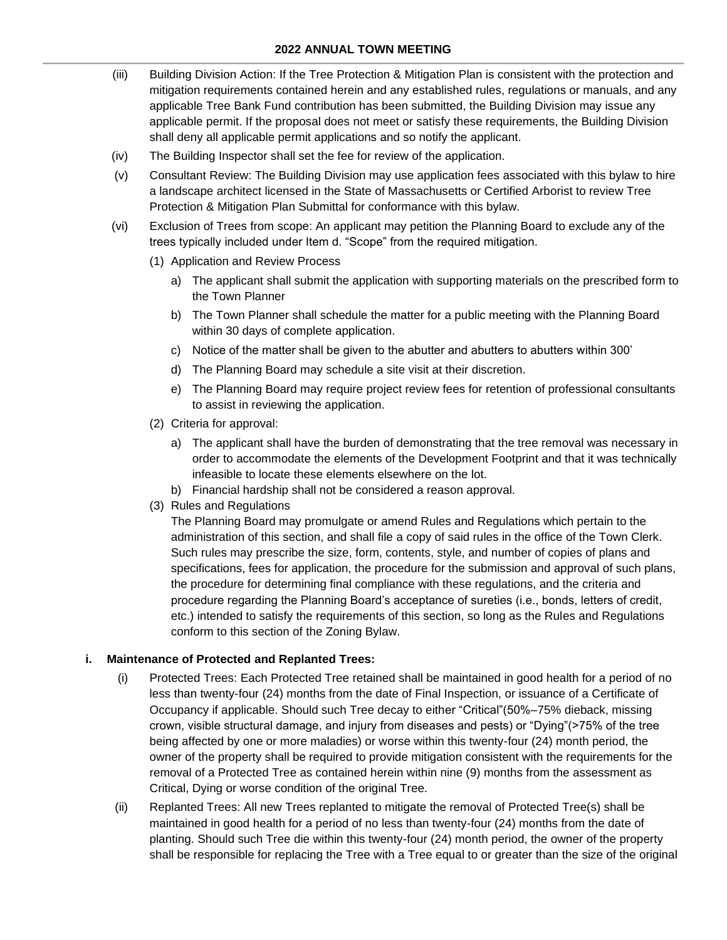- (iii) Building Division Action: If the Tree Protection & Mitigation Plan is consistent with the protection and mitigation requirements contained herein and any established rules, regulations or manuals, and any applicable Tree Bank Fund contribution has been submitted, the Building Division may issue any applicable permit. If the proposal does not meet or satisfy these requirements, the Building Division shall deny all applicable permit applications and so notify the applicant.
- (iv) The Building Inspector shall set the fee for review of the application.
- (v) Consultant Review: The Building Division may use application fees associated with this bylaw to hire a landscape architect licensed in the State of Massachusetts or Certified Arborist to review Tree Protection & Mitigation Plan Submittal for conformance with this bylaw.
- (vi) Exclusion of Trees from scope: An applicant may petition the Planning Board to exclude any of the trees typically included under Item d. "Scope" from the required mitigation.
	- (1) Application and Review Process
		- a) The applicant shall submit the application with supporting materials on the prescribed form to the Town Planner
		- b) The Town Planner shall schedule the matter for a public meeting with the Planning Board within 30 days of complete application.
		- c) Notice of the matter shall be given to the abutter and abutters to abutters within 300'
		- d) The Planning Board may schedule a site visit at their discretion.
		- e) The Planning Board may require project review fees for retention of professional consultants to assist in reviewing the application.
	- (2) Criteria for approval:
		- a) The applicant shall have the burden of demonstrating that the tree removal was necessary in order to accommodate the elements of the Development Footprint and that it was technically infeasible to locate these elements elsewhere on the lot.
		- b) Financial hardship shall not be considered a reason approval.
	- (3) Rules and Regulations

The Planning Board may promulgate or amend Rules and Regulations which pertain to the administration of this section, and shall file a copy of said rules in the office of the Town Clerk. Such rules may prescribe the size, form, contents, style, and number of copies of plans and specifications, fees for application, the procedure for the submission and approval of such plans, the procedure for determining final compliance with these regulations, and the criteria and procedure regarding the Planning Board's acceptance of sureties (i.e., bonds, letters of credit, etc.) intended to satisfy the requirements of this section, so long as the Rules and Regulations conform to this section of the Zoning Bylaw.

#### **i. Maintenance of Protected and Replanted Trees:**

- (i) Protected Trees: Each Protected Tree retained shall be maintained in good health for a period of no less than twenty-four (24) months from the date of Final Inspection, or issuance of a Certificate of Occupancy if applicable. Should such Tree decay to either "Critical"(50%–75% dieback, missing crown, visible structural damage, and injury from diseases and pests) or "Dying"(>75% of the tree being affected by one or more maladies) or worse within this twenty-four (24) month period, the owner of the property shall be required to provide mitigation consistent with the requirements for the removal of a Protected Tree as contained herein within nine (9) months from the assessment as Critical, Dying or worse condition of the original Tree.
- (ii) Replanted Trees: All new Trees replanted to mitigate the removal of Protected Tree(s) shall be maintained in good health for a period of no less than twenty-four (24) months from the date of planting. Should such Tree die within this twenty-four (24) month period, the owner of the property shall be responsible for replacing the Tree with a Tree equal to or greater than the size of the original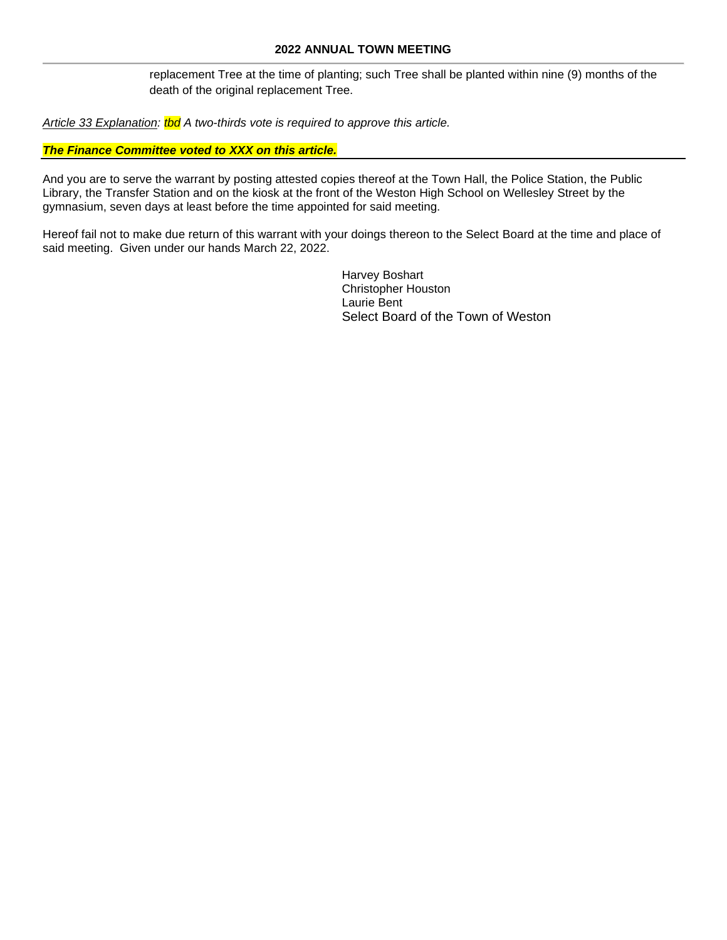replacement Tree at the time of planting; such Tree shall be planted within nine (9) months of the death of the original replacement Tree.

*Article 33 Explanation: tbd A two-thirds vote is required to approve this article.* 

## *The Finance Committee voted to XXX on this article.*

And you are to serve the warrant by posting attested copies thereof at the Town Hall, the Police Station, the Public Library, the Transfer Station and on the kiosk at the front of the Weston High School on Wellesley Street by the gymnasium, seven days at least before the time appointed for said meeting.

Hereof fail not to make due return of this warrant with your doings thereon to the Select Board at the time and place of said meeting. Given under our hands March 22, 2022.

> Harvey Boshart Christopher Houston Laurie Bent Select Board of the Town of Weston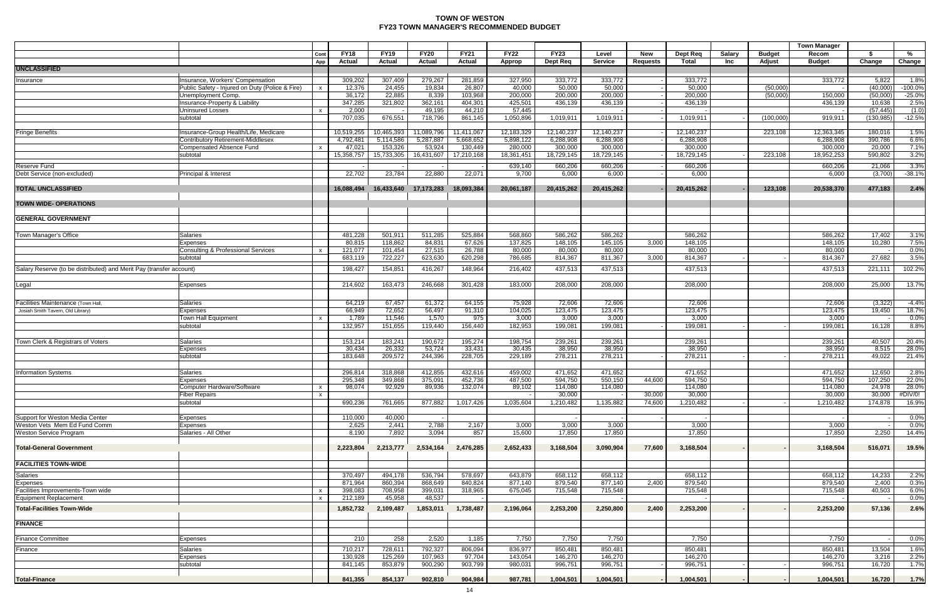## **TOWN OF WESTON FY23 TOWN MANAGER'S RECOMMENDED BUDGET**

|                                                                     |                                                 |                         |                              |                       |                              |                       |                       |                         |                         |                               |                       |               |                         | <b>Town Manager</b>    |                         |                   |
|---------------------------------------------------------------------|-------------------------------------------------|-------------------------|------------------------------|-----------------------|------------------------------|-----------------------|-----------------------|-------------------------|-------------------------|-------------------------------|-----------------------|---------------|-------------------------|------------------------|-------------------------|-------------------|
|                                                                     |                                                 | Cont<br>App             | <b>FY18</b><br><b>Actual</b> | <b>FY19</b><br>Actual | <b>FY20</b><br><b>Actual</b> | <b>FY21</b><br>Actual | <b>FY22</b><br>Approp | <b>FY23</b><br>Dept Req | Level<br><b>Service</b> | <b>New</b><br><b>Requests</b> | Dept Req<br>Total     | Salary<br>Inc | <b>Budget</b><br>Adjust | Recom<br><b>Budget</b> | \$<br>Change            | %<br>Change       |
| <b>UNCLASSIFIED</b>                                                 |                                                 |                         |                              |                       |                              |                       |                       |                         |                         |                               |                       |               |                         |                        |                         |                   |
| Insurance                                                           | Insurance, Workers' Compensation                |                         | 309,202                      | 307,409               | 279,267                      | 281,859               | 327,950               | 333,772                 | 333,772                 |                               | 333,772               |               |                         | 333,772                | 5,822                   | 1.8%              |
|                                                                     | Public Safety - Injured on Duty (Police & Fire) | $\mathsf{x}$            | 12,376                       | 24,455                | 19,834                       | 26,807                | 40,000                | 50,000                  | 50,000                  |                               | 50,000                |               | (50,000)                |                        | (40,000)                | $-100.0%$         |
|                                                                     | Unemployment Comp.                              |                         | 36,172                       | 22,885                | 8,339                        | 103,968               | 200,000               | 200,000                 | 200,000                 |                               | 200,000               |               | (50,000)                | 150,000                | (50,000)                | $-25.0%$          |
|                                                                     | Insurance-Property & Liability                  |                         | 347,285                      | 321,802               | 362,161                      | 404,301               | 425,501               | 436,139                 | 436,139                 |                               | 436,139               |               |                         | 436,139                | 10,638                  | 2.5%              |
|                                                                     | <b>Uninsured Losses</b><br>subtotal             |                         | 2,000<br>707,035             | 676,551               | 49,195<br>718,796            | 44,210<br>861,145     | 57,445<br>1,050,896   | 1,019,911               | 1,019,911               |                               | 1,019,911             |               | (100,000)               | 919,91                 | (57, 445)<br>(130, 985) | (1.0)<br>$-12.5%$ |
|                                                                     |                                                 |                         |                              |                       |                              |                       |                       |                         |                         |                               |                       |               |                         |                        |                         |                   |
| <b>Fringe Benefits</b>                                              | Insurance-Group Health/Life, Medicare           |                         | 10,519,255                   | 10,465,393            | 11,089,796                   | 11,411,067            | 12,183,329            | 12,140,237              | 12,140,237              |                               | 12,140,237            |               | 223,108                 | 12,363,345             | 180,016                 | 1.5%              |
|                                                                     | <b>Contributory Retirement-Middlesex</b>        |                         | 4,792,481                    | 5,114,586             | 5,287,887                    | 5,668,652             | 5,898,122             | 6,288,908               | 6,288,908               |                               | 6,288,908             |               |                         | 6,288,908              | 390,786                 | 6.6%              |
|                                                                     | <b>Compensated Absence Fund</b><br>subtotal     |                         | 47,021<br>15,358,757         | 153,326<br>15,733,305 | 53,924<br>16,431,607         | 130,449<br>17,210,168 | 280,000<br>18,361,451 | 300,000<br>18,729,145   | 300,000<br>18,729,145   |                               | 300,000<br>18,729,145 |               | 223,108                 | 300,000<br>18,952,253  | 20,000<br>590,802       | 7.1%<br>3.2%      |
|                                                                     |                                                 |                         |                              |                       |                              |                       |                       |                         |                         |                               |                       |               |                         |                        |                         |                   |
| Reserve Fund<br>Debt Service (non-excluded)                         | Principal & Interest                            |                         | 22,702                       | 23,784                | 22,880                       | 22,071                | 639,140<br>9,700      | 660,206<br>6,000        | 660,206<br>6,000        |                               | 660,206<br>6,000      |               |                         | 660,206<br>6,000       | 21,066<br>(3,700)       | 3.3%<br>$-38.1%$  |
|                                                                     |                                                 |                         |                              |                       |                              |                       |                       |                         |                         |                               |                       |               |                         |                        |                         |                   |
| <b>TOTAL UNCLASSIFIED</b>                                           |                                                 |                         | 16,088,494                   | 16,433,640            | 17,173,283                   | 18,093,384            | 20,061,187            | 20,415,262              | 20,415,262              |                               | 20,415,262            |               | 123,108                 | 20,538,370             | 477.183                 | 2.4%              |
| <b>TOWN WIDE- OPERATIONS</b>                                        |                                                 |                         |                              |                       |                              |                       |                       |                         |                         |                               |                       |               |                         |                        |                         |                   |
| <b>GENERAL GOVERNMENT</b>                                           |                                                 |                         |                              |                       |                              |                       |                       |                         |                         |                               |                       |               |                         |                        |                         |                   |
|                                                                     |                                                 |                         |                              |                       |                              |                       |                       |                         |                         |                               |                       |               |                         |                        |                         |                   |
| Town Manager's Office                                               | <b>Salaries</b>                                 |                         | 481,228                      | 501,911               | 511,285                      | 525,884               | 568,860               | 586,262                 | 586,262                 |                               | 586,262               |               |                         | 586,262                | 17,402                  | 3.1%              |
|                                                                     | Expenses                                        |                         | 80,815                       | 118,862               | 84,831                       | 67,626                | 137,825               | 148,105                 | 145,105                 | 3,000                         | 148,105<br>80,000     |               |                         | 148,105                | 10,280                  | 7.5%              |
|                                                                     | Consulting & Professional Services<br>subtotal  | $\mathsf{x}$            | 121,077<br>683,119           | 101,454<br>722,227    | 27,515<br>623,630            | 26,788<br>620,298     | 80,000<br>786,685     | 80,000<br>814,367       | 80,000<br>811,367       | 3,000                         | 814,367               |               |                         | 80,000<br>814,367      | 27,682                  | 0.0%<br>3.5%      |
| Salary Reserve (to be distributed) and Merit Pay (transfer account) |                                                 |                         | 198,427                      | 154,851               | 416,267                      | 148,964               | 216,402               | 437,513                 | 437,513                 |                               | 437,513               |               |                         | 437,513                | 221,111                 | 102.2%            |
|                                                                     |                                                 |                         |                              |                       |                              |                       |                       |                         |                         |                               |                       |               |                         |                        |                         |                   |
| Legal                                                               | Expenses                                        |                         | 214,602                      | 163,473               | 246,668                      | 301,428               | 183,000               | 208,000                 | 208,000                 |                               | 208,000               |               |                         | 208,000                | 25,000                  | 13.7%             |
| Facilities Maintenance (Town Hall,                                  | <b>Salaries</b>                                 |                         | 64,219                       | 67,457                | 61,372                       | 64,155                | 75,928                | 72,606                  | 72,606                  |                               | 72,606                |               |                         | 72,606                 | (3,322)                 | $-4.4%$           |
| Josiah Smith Tavern, Old Library)                                   | <b>Expenses</b>                                 |                         | 66,949                       | 72,652                | 56,497                       | 91,310                | 104,025               | 123,475                 | 123,475                 |                               | 123,475               |               |                         | 123,475                | 19,450                  | 18.7%             |
|                                                                     | <b>Town Hall Equipment</b>                      | $\mathsf{x}$            | 1,789                        | 11,546                | 1,570                        | 975                   | 3,000                 | 3,000                   | 3,000                   |                               | 3,000                 |               |                         | 3,000                  |                         | 0.0%              |
|                                                                     | subtotal                                        |                         | 132,957                      | 151,655               | 119,440                      | 156,440               | 182,953               | 199,081                 | 199,081                 |                               | 199,081               |               |                         | 199,081                | 16,128                  | 8.8%              |
| Town Clerk & Registrars of Voters                                   | <b>Salaries</b>                                 |                         | 153,214                      | 183,241               | 190,672                      | 195,274               | 198,754               | 239,261                 | 239,261                 |                               | 239,261               |               |                         | 239,261                | 40,507                  | 20.4%             |
|                                                                     | Expenses                                        |                         | 30,434                       | 26,332                | 53,724                       | 33,431                | 30,435                | 38.950                  | 38,950                  |                               | 38,950                |               |                         | 38,950                 | 8,515                   | 28.0%             |
|                                                                     | subtotal                                        |                         | 183,648                      | 209,572               | 244,396                      | 228,705               | 229,189               | 278,211                 | 278,211                 |                               | 278,211               |               |                         | 278,21'                | 49,022                  | 21.4%             |
| <b>Information Systems</b>                                          | Salaries                                        |                         | 296,814                      | 318,868               | 412,855                      | 432,616               | 459,002               | 471,652                 | 471,652                 |                               | 471,652               |               |                         | 471,652                | 12,650                  | 2.8%              |
|                                                                     | <b>Expenses</b>                                 |                         | 295,348                      | 349,868               | 375,091                      | 452,736               | 487,500               | 594,750                 | 550,150                 | 44,600                        | 594,750               |               |                         | 594,750                | 107,250                 | 22.0%             |
|                                                                     | Computer Hardware/Software                      |                         | 98,074                       | 92,929                | 89,936                       | 132,074               | 89,102                | 114,080                 | 114,080                 |                               | 114,080               |               |                         | 114,080                | 24,978                  | 28.0%             |
|                                                                     | <b>Fiber Repairs</b>                            | $\overline{\mathbf{x}}$ |                              |                       |                              |                       |                       | 30,000                  |                         | 30,000                        | 30,000                |               |                         | 30,000                 | 30,000                  | #DIV/0!           |
|                                                                     | subtotal                                        |                         | 690,236                      | 761,665               | 877,882                      | 1,017,426             | 1,035,604             | 1,210,482               | 1,135,882               | 74,600                        | 1,210,482             |               |                         | 1,210,482              | 174,878                 | 16.9%             |
| Support for Weston Media Center                                     | Expenses                                        |                         | 110,000                      | 40,000                |                              |                       |                       |                         |                         |                               |                       |               |                         |                        |                         | 0.0%              |
| Weston Vets Mem Ed Fund Comm                                        | Expenses                                        |                         | 2,625                        | 2,441                 | 2,788                        | 2,167                 | 3,000                 | 3,000                   | 3,000                   |                               | 3,000                 |               |                         | 3,000                  |                         | $0.0\%$           |
| <b>Weston Service Program</b>                                       | Salaries - All Other                            |                         | 8,190                        | 7,892                 | 3,094                        | 857                   | 15,600                | 17,850                  | 17,850                  |                               | 17,850                |               |                         | 17,850                 | 2,250                   | 14.4%             |
| <b>Total-General Government</b>                                     |                                                 |                         | 2,223,804                    | 2,213,777             | 2,534,164                    | 2,476,285             | 2,652,433             | 3,168,504               | 3,090,904               | 77,600                        | 3,168,504             |               |                         | 3,168,504              | 516,071                 | 19.5%             |
| <b>FACILITIES TOWN-WIDE</b>                                         |                                                 |                         |                              |                       |                              |                       |                       |                         |                         |                               |                       |               |                         |                        |                         |                   |
| <b>Salaries</b>                                                     |                                                 |                         | 370,497                      | 494,178               | 536,794                      | 578,697               | 643,879               | 658,112                 | 658,112                 |                               | 658,112               |               |                         | 658,112                | 14,233                  | 2.2%              |
| Expenses                                                            |                                                 |                         | 871,964                      | 860,394               | 868,649                      | 840,824               | 877,140               | 879,540                 | 877,140                 | 2,400                         | 879,540               |               |                         | 879,540                | 2.400                   | 0.3%              |
| Facilities Improvements-Town wide                                   |                                                 |                         | 398,083                      | 708,958               | 399,031                      | 318,965               | 675,045               | 715,548                 | 715,548                 |                               | 715,548               |               |                         | 715,548                | 40,503                  | 6.0%              |
| Equipment Replacement                                               |                                                 |                         | 212,189                      | 45,958                | 48,537                       |                       |                       |                         |                         |                               |                       |               |                         |                        |                         | 0.0%              |
| <b>Total-Facilities Town-Wide</b>                                   |                                                 |                         | 1,852,732                    | 2,109,487             | 1,853,011                    | 1,738,487             | 2,196,064             | 2,253,200               | 2,250,800               | 2,400                         | 2,253,200             |               |                         | 2,253,200              | 57,136                  | 2.6%              |
| <b>FINANCE</b>                                                      |                                                 |                         |                              |                       |                              |                       |                       |                         |                         |                               |                       |               |                         |                        |                         |                   |
| <b>Finance Committee</b>                                            |                                                 |                         | 210                          | 258                   |                              | 1,185                 |                       |                         |                         |                               |                       |               |                         | 7,750                  |                         |                   |
|                                                                     | Expenses                                        |                         |                              |                       | 2,520                        |                       | 7,750                 | 7,750                   | 7,750                   |                               | 7,750                 |               |                         |                        |                         | 0.0%              |
| Finance                                                             | <b>Salaries</b>                                 |                         | 710,217                      | 728,611               | 792,327                      | 806,094               | 836,977               | 850,481                 | 850,481                 |                               | 850,481               |               |                         | 850,481                | 13,504                  | 1.6%              |
|                                                                     | Expenses<br>subtotal                            |                         | 130,928<br>841,145           | 125,269<br>853,879    | 107,963<br>900,290           | 97,704<br>903,799     | 143,054<br>980,031    | 146,270<br>996,751      | 146,270<br>996,751      |                               | 146,270<br>996,751    |               |                         | 146,270<br>996,751     | 3,216<br>16,720         | 2.2%<br>1.7%      |
|                                                                     |                                                 |                         |                              |                       |                              |                       |                       |                         |                         |                               |                       |               |                         |                        |                         |                   |
| Total-Finance                                                       |                                                 |                         | 841,355                      | 854,137               | 902,810                      | 904,984               | 987,781               | 1,004,501               | 1,004,501               |                               | 1,004,501             |               |                         | 1,004,501              | 16,720                  | 1.7%              |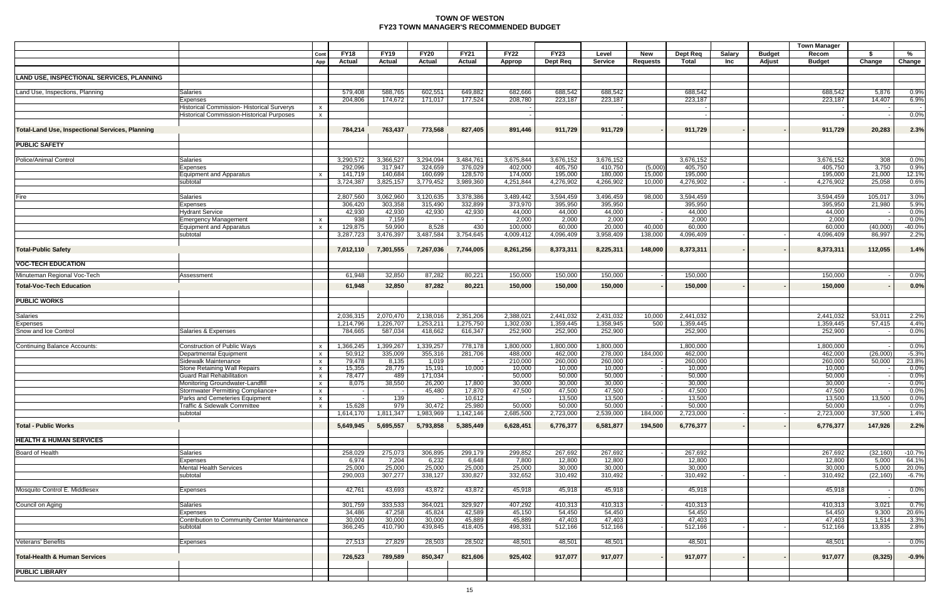## **TOWN OF WESTON FY23 TOWN MANAGER'S RECOMMENDED BUDGET**

|                                                 |                                                          |                         |                       |                              |                       |                       |                       |                         |                    |                               |                          |               |                         | <b>Town Manager</b>    |                 |                  |
|-------------------------------------------------|----------------------------------------------------------|-------------------------|-----------------------|------------------------------|-----------------------|-----------------------|-----------------------|-------------------------|--------------------|-------------------------------|--------------------------|---------------|-------------------------|------------------------|-----------------|------------------|
|                                                 |                                                          | Cont<br>App             | <b>FY18</b><br>Actual | <b>FY19</b><br><b>Actual</b> | <b>FY20</b><br>Actual | <b>FY21</b><br>Actual | <b>FY22</b><br>Approp | <b>FY23</b><br>Dept Req | Level<br>Service   | <b>New</b><br><b>Requests</b> | <b>Dept Req</b><br>Total | Salary<br>Inc | <b>Budget</b><br>Adjust | Recom<br><b>Budget</b> | \$<br>Change    | %<br>Change      |
| LAND USE, INSPECTIONAL SERVICES, PLANNING       |                                                          |                         |                       |                              |                       |                       |                       |                         |                    |                               |                          |               |                         |                        |                 |                  |
|                                                 |                                                          |                         |                       |                              |                       |                       |                       |                         |                    |                               |                          |               |                         |                        |                 |                  |
| Land Use, Inspections, Planning                 | Salaries<br>Expenses                                     |                         | 579,408<br>204,806    | 588,765<br>174,672           | 602,551<br>171,017    | 649,882<br>177,524    | 682,666<br>208,780    | 688,542<br>223,187      | 688,542<br>223,187 |                               | 688,542<br>223,187       |               |                         | 688,542<br>223,187     | 5,876<br>14,407 | 0.9%<br>6.9%     |
|                                                 | Historical Commission- Historical Surverys               | $\mathsf{X}$            |                       |                              |                       |                       |                       |                         |                    |                               |                          |               |                         |                        |                 |                  |
|                                                 | Historical Commission-Historical Purposes                | $\mathsf{x}$            |                       |                              |                       |                       |                       |                         |                    |                               |                          |               |                         |                        |                 | 0.0%             |
|                                                 |                                                          |                         |                       |                              |                       |                       |                       |                         |                    |                               |                          |               |                         |                        |                 |                  |
| Total-Land Use, Inspectional Services, Planning |                                                          |                         | 784,214               | 763,437                      | 773,568               | 827,405               | 891,446               | 911,729                 | 911,729            |                               | 911,729                  |               |                         | 911,729                | 20,283          | 2.3%             |
| <b>PUBLIC SAFETY</b>                            |                                                          |                         |                       |                              |                       |                       |                       |                         |                    |                               |                          |               |                         |                        |                 |                  |
| Police/Animal Control                           | <b>Salaries</b>                                          |                         | 3,290,572             | 3,366,527                    | 3,294,094             | 3,484,761             | 3,675,844             | 3,676,152               | 3,676,152          |                               | 3,676,152                |               |                         | 3,676,152              | 308             | 0.0%             |
|                                                 | Expenses                                                 |                         | 292,096               | 317,947                      | 324,659               | 376,029               | 402,000               | 405,750                 | 410,750            | (5,000)                       | 405,750                  |               |                         | 405,750                | 3,750           | 0.9%             |
|                                                 | Equipment and Apparatus                                  |                         | 141,719               | 140,684                      | 160,699               | 128,570               | 174,000               | 195,000                 | 180,000            | 15,000                        | 195,000                  |               |                         | 195,000                | 21,000          | 12.1%            |
|                                                 | subtotal                                                 |                         | 3,724,387             | 3,825,157                    | 3,779,452             | 3,989,360             | 4,251,844             | 4,276,902               | 4,266,902          | 10,000                        | 4,276,902                |               |                         | 4,276,902              | 25,058          | 0.6%             |
|                                                 |                                                          |                         |                       |                              |                       |                       |                       |                         |                    |                               |                          |               |                         |                        |                 |                  |
| Fire                                            | Salaries                                                 |                         | 2,807,560             | 3,062,960                    | 3,120,635             | 3,378,386             | 3,489,442             | 3,594,459               | 3,496,459          | 98,000                        | 3,594,459                |               |                         | 3,594,459              | 105,017         | 3.0%             |
|                                                 | Expenses                                                 |                         | 306,420               | 303,358                      | 315,490               | 332,899               | 373,970               | 395,950                 | 395,950            |                               | 395,950                  |               |                         | 395,950                | 21,980          | 5.9%             |
|                                                 | <b>Hydrant Service</b>                                   |                         | 42,930                | 42,930<br>7,159              | 42,930                | 42,930                | 44,000                | 44,000                  | 44,000<br>2,000    |                               | 44,000<br>2,000          |               |                         | 44,000                 |                 | 0.0%             |
|                                                 | <b>Emergency Management</b>                              | $\mathsf{x}$            | 938<br>129,875        | 59,990                       | 8,528                 | 430                   | 2,000<br>100,000      | 2,000<br>60,000         | 20,000             | 40,000                        | 60,000                   |               |                         | 2,000<br>60,000        | (40,000)        | 0.0%<br>$-40.0%$ |
|                                                 | Equipment and Apparatus<br>subtotal                      |                         | 3,287,723             | 3,476,397                    | 3,487,584             | 3,754,645             | 4,009,412             | 4,096,409               | 3,958,409          | 138,000                       | 4,096,409                |               |                         | 4,096,409              | 86,997          | 2.2%             |
|                                                 |                                                          |                         |                       |                              |                       |                       |                       |                         |                    |                               |                          |               |                         |                        |                 |                  |
| <b>Total-Public Safety</b>                      |                                                          |                         | 7,012,110             | 7,301,555                    | 7,267,036             | 7,744,005             | 8,261,256             | 8,373,311               | 8,225,311          | 148,000                       | 8,373,311                |               |                         | 8,373,311              | 112,055         | 1.4%             |
| <b>VOC-TECH EDUCATION</b>                       |                                                          |                         |                       |                              |                       |                       |                       |                         |                    |                               |                          |               |                         |                        |                 |                  |
| Minuteman Regional Voc-Tech                     | Assessment                                               |                         | 61,948                | 32,850                       | 87,282                | 80,221                | 150,000               | 150,000                 | 150,000            |                               | 150,000                  |               |                         | 150,000                |                 | 0.0%             |
| Total-Voc-Tech Education                        |                                                          |                         | 61,948                | 32,850                       | 87,282                | 80,221                | 150,000               | 150,000                 | 150,000            |                               | 150,000                  |               |                         | 150,000                |                 | 0.0%             |
| <b>PUBLIC WORKS</b>                             |                                                          |                         |                       |                              |                       |                       |                       |                         |                    |                               |                          |               |                         |                        |                 |                  |
| Salaries                                        |                                                          |                         | 2,036,315             | 2,070,470                    | 2,138,016             | 2,351,206             | 2,388,021             | 2,441,032               | 2,431,032          | 10,000                        | 2,441,032                |               |                         | 2,441,032              | 53,011          | 2.2%             |
| Expenses                                        |                                                          |                         | 1,214,796             | 1,226,707                    | 1,253,211             | 1,275,750             | 1,302,030             | 1,359,445               | 1,358,945          | 500                           | 1,359,445                |               |                         | 1,359,445              | 57,415          | 4.4%             |
| Snow and Ice Control                            | Salaries & Expenses                                      |                         | 784,665               | 587,034                      | 418,662               | 616,347               | 252,900               | 252,900                 | 252,900            |                               | 252,900                  |               |                         | 252,900                |                 | 0.0%             |
| Continuing Balance Accounts:                    | Construction of Public Ways                              |                         | 1,366,245             | 1,399,267                    | 1,339,257             | 778,178               | 1,800,000             | 1,800,000               | 1,800,000          |                               | 1,800,000                |               |                         | 1,800,000              |                 | 0.0%             |
|                                                 | Departmental Equipment                                   |                         | 50,912                | 335,009                      | 355,316               | 281,706               | 488,000               | 462,000                 | 278,000            | 184,000                       | 462,000                  |               |                         | 462,000                | (26,000)        | $-5.3%$          |
|                                                 | Sidewalk Maintenance                                     | $\mathsf{x}$            | 79,478                | 8,135                        | 1,019                 |                       | 210,000               | 260,000                 | 260,000            |                               | 260,000                  |               |                         | 260,000                | 50,000          | 23.8%            |
|                                                 | Stone Retaining Wall Repairs                             | $\mathsf{x}$            | 15,355                | 28,779                       | 15,191                | 10,000                | 10,000                | 10,000                  | 10,000             |                               | 10,000                   |               |                         | 10,000                 |                 | 0.0%             |
|                                                 | Guard Rail Rehabilitation                                | $\mathsf{x}$            | 78,477                | 489                          | 171,034               |                       | 50,000                | 50,000                  | 50,000             |                               | 50,000                   |               |                         | 50,000                 |                 | 0.0%             |
|                                                 | Monitoring Groundwater-Landfil                           | $\overline{\mathbf{x}}$ | 8,075                 | 38,550                       | 26,200                | 17,800                | 30,000                | 30,000                  | 30,000             |                               | 30,000                   |               |                         | 30,000                 |                 | 0.0%             |
|                                                 | Stormwater Permitting Compliance+                        | $\mathsf{x}$            | $\sim$                |                              | 45,480                | 17,870                | 47,500                | 47,500                  | 47,500             |                               | 47,500                   |               |                         | 47,500                 |                 | 0.0%             |
|                                                 | Parks and Cemeteries Equipment                           | $\mathbf{x}$            | $\sim$                | 139                          |                       | 10,612                |                       | 13,500                  | 13,500             |                               | 13,500                   |               |                         | 13,500                 | 13,500          | 0.0%             |
|                                                 | Traffic & Sidewalk Committee                             | $\mathsf{x}$            | 15,628                | 979                          | 30,472                | 25,980                | 50,000                | 50,000                  | 50,000             |                               | 50,000                   |               |                         | 50,000                 |                 | 0.0%             |
|                                                 | subtotal                                                 |                         | 1,614,170             | 1,811,347                    | 1,983,969             | 1,142,146             | 2,685,500             | 2,723,000               | 2,539,000          | 184,000                       | 2,723,000                |               |                         | 2,723,000              | 37,500          | 1.4%             |
| <b>Total - Public Works</b>                     |                                                          |                         | 5,649,945             | 5,695,557                    | 5,793,858             | 5,385,449             | 6,628,451             | 6,776,377               | 6,581,877          | 194,500                       | 6,776,377                |               |                         | 6,776,377              | 147,926         | 2.2%             |
| <b>HEALTH &amp; HUMAN SERVICES</b>              |                                                          |                         |                       |                              |                       |                       |                       |                         |                    |                               |                          |               |                         |                        |                 |                  |
| Board of Health                                 | <b>Salaries</b>                                          |                         | 258,029               | 275,073                      | 306,895               | 299,179               | 299,852               | 267,692                 | 267,692            |                               | 267,692                  |               |                         | 267,692                | (32, 160)       | $-10.7%$         |
|                                                 | Expenses                                                 |                         | 6,974                 | 7,204                        | 6,232                 | 6,648                 | 7,800                 | 12,800                  | 12,800             |                               | 12,800                   |               |                         | 12,800                 | 5,000           | 64.1%            |
|                                                 | Mental Health Services                                   |                         | 25,000                | 25,000                       | 25,000                | 25,000                | 25,000                | 30,000                  | 30,000             |                               | 30,000                   |               |                         | 30,000                 | 5,000           | 20.0%            |
|                                                 | subtotal                                                 |                         | 290,003               | 307,277                      | 338,127               | 330,827               | 332,652               | 310,492                 | 310,492            |                               | 310,492                  |               |                         | 310,492                | (22, 160)       | $-6.7%$          |
| Mosquito Control E. Middlesex                   | Expenses                                                 |                         | 42,761                | 43,693                       | 43,872                | 43,872                | 45,918                | 45,918                  | 45,918             |                               | 45,918                   |               |                         | 45,918                 |                 | 0.0%             |
|                                                 |                                                          |                         |                       |                              |                       |                       |                       |                         |                    |                               |                          |               |                         |                        |                 |                  |
| Council on Aging                                | Salaries                                                 |                         | 301,759               | 333,533                      | 364,021               | 329,927               | 407,292               | 410,313                 | 410,313            |                               | 410,313                  |               |                         | 410,313                | 3,021           | 0.7%             |
|                                                 | Expenses<br>Contribution to Community Center Maintenance |                         | 34,486<br>30,000      | 47,258<br>30,000             | 45,824<br>30,000      | 42,589<br>45,889      | 45,150<br>45,889      | 54,450<br>47,403        | 54,450<br>47,403   |                               | 54,450<br>47,403         |               |                         | 54,450<br>47,403       | 9,300<br>1,514  | 20.6%<br>3.3%    |
|                                                 | subtotal                                                 |                         | 366,245               | 410,790                      | 439,845               | 418,405               | 498,331               | 512,166                 | 512,166            |                               | 512,166                  |               |                         | 512,166                | 13,835          | 2.8%             |
|                                                 |                                                          |                         |                       |                              |                       |                       |                       |                         |                    |                               |                          |               |                         |                        |                 |                  |
| Veterans' Benefits                              | Expenses                                                 |                         | 27,513                | 27,829                       | 28,503                | 28,502                | 48,501                | 48,501                  | 48,501             |                               | 48,501                   |               |                         | 48,501                 |                 | 0.0%             |
| <b>Total-Health &amp; Human Services</b>        |                                                          |                         | 726,523               | 789,589                      | 850,347               | 821,606               | 925,402               | 917,077                 | 917,077            |                               | 917,077                  |               |                         | 917,077                | (8, 325)        | $-0.9%$          |
| <b>PUBLIC LIBRARY</b>                           |                                                          |                         |                       |                              |                       |                       |                       |                         |                    |                               |                          |               |                         |                        |                 |                  |
|                                                 |                                                          |                         |                       |                              |                       |                       |                       |                         |                    |                               |                          |               |                         |                        |                 |                  |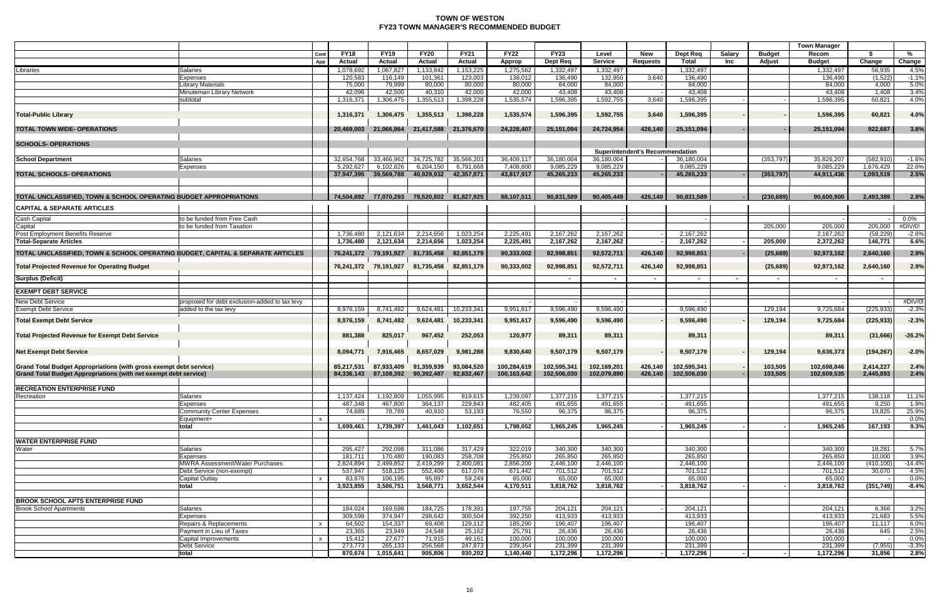## **TOWN OF WESTON FY23 TOWN MANAGER'S RECOMMENDED BUDGET**

|                                                                                 |                                               |              |                   |                       |                       |                   |                   |                   |                          |                                        |                   |        |               | <b>Town Manager</b>  |                          |                    |
|---------------------------------------------------------------------------------|-----------------------------------------------|--------------|-------------------|-----------------------|-----------------------|-------------------|-------------------|-------------------|--------------------------|----------------------------------------|-------------------|--------|---------------|----------------------|--------------------------|--------------------|
|                                                                                 |                                               | Cont         | <b>FY18</b>       | <b>FY19</b>           | <b>FY20</b>           | <b>FY21</b>       | <b>FY22</b>       | <b>FY23</b>       | Level                    | New                                    | Dept Req          | Salary | <b>Budget</b> | Recom                | -\$                      | %                  |
|                                                                                 |                                               | App          | <b>Actual</b>     | <b>Actual</b>         | Actual                | Actual            | Approp            | Dept Req          | <b>Service</b>           | <b>Requests</b>                        | Total             | Inc    | Adjust        | <b>Budget</b>        | Change                   | Change             |
| Libraries                                                                       | <b>Salaries</b>                               |              | 1,078,692         | 1,067,827             | 1,133,842             | 1,153,225         | 1,275,562         | 1,332,497         | 1,332,497                |                                        | 1,332,497         |        |               | 1,332,497            | 56,935                   | 4.5%               |
|                                                                                 | Expenses<br><b>Library Materials</b>          |              | 120,583<br>75,000 | 116,149<br>79,999     | 101,361<br>80,000     | 123,003<br>80,000 | 138,012<br>80,000 | 136,490<br>84,000 | 132,850<br>84,000        | 3,640                                  | 136,490<br>84,000 |        |               | 136,490<br>84,000    | (1,522)<br>4,000         | $-1.1%$<br>5.0%    |
|                                                                                 | Minuteman Library Network                     |              | 42,096            | 42,500                | 40,310                | 42,000            | 42,000            | 43,408            | 43,408                   |                                        | 43,408            |        |               | 43,408               | 1.408                    | 3.4%               |
|                                                                                 | subtotal                                      |              | 1,316,371         | 1,306,475             | 1,355,513             | 1,398,228         | 1,535,574         | 1,596,395         | 1,592,755                | 3,640                                  | 1,596,395         |        |               | 1,596,395            | 60,821                   | 4.0%               |
|                                                                                 |                                               |              |                   |                       |                       |                   |                   |                   |                          |                                        |                   |        |               |                      |                          |                    |
| <b>Total-Public Library</b>                                                     |                                               |              | 1,316,371         | 1,306,475             | 1,355,513             | 1,398,228         | 1,535,574         | 1,596,395         | 1,592,755                | 3,640                                  | 1,596,395         |        |               | 1,596,395            | 60,821                   | 4.0%               |
|                                                                                 |                                               |              |                   |                       |                       |                   |                   |                   |                          |                                        |                   |        |               |                      |                          |                    |
| <b>TOTAL TOWN WIDE- OPERATIONS</b>                                              |                                               |              | 20,469,003        | 21,066,864            | 21,417,588            | 21,376,670        | 24,228,407        | 25,151,094        | 24,724,954               | 426,140                                | 25,151,094        |        |               | 25,151,094           | 922,687                  | 3.8%               |
| <b>SCHOOLS- OPERATIONS</b>                                                      |                                               |              |                   |                       |                       |                   |                   |                   |                          |                                        |                   |        |               |                      |                          |                    |
|                                                                                 |                                               |              |                   |                       |                       |                   |                   |                   |                          | <b>Superintendent's Recommendation</b> |                   |        |               |                      |                          |                    |
| <b>School Department</b>                                                        | <b>Salaries</b>                               |              | 32,654,768        | 33,466,962            | 34,725,782            | 35,566,203        | 36,409,11         | 36,180,004        | 36,180,004               |                                        | 36,180,004        |        | (353,797)     | 35,826,207           | (582, 910)               | $-1.6%$            |
|                                                                                 | Expenses                                      |              | 5,292,627         | 6,102,826             | 6,204,150             | 6,791,668         | 7,408,800         | 9,085,229         | 9,085,229                |                                        | 9,085,229         |        |               | 9,085,229            | 1,676,429                | 22.6%              |
| <b>TOTAL SCHOOLS- OPERATIONS</b>                                                |                                               |              | 37,947,395        | 39,569,788            | 40,929,932            | 42,357,871        | 43,817,917        | 45,265,233        | 45,265,233               |                                        | 45,265,233        |        | (353, 797)    | 44,911,436           | 1,093,519                | 2.5%               |
|                                                                                 |                                               |              |                   |                       |                       |                   |                   |                   |                          |                                        |                   |        |               |                      |                          |                    |
| TOTAL UNCLASSIFIED, TOWN & SCHOOL OPERATING BUDGET APPROPRIATIONS               |                                               |              |                   | 74,504,892 77,070,293 | 79,520,802 81,827,925 |                   | 88,107,511        | 90,831,589        | 90,405,449               | 426,140                                | 90,831,589        |        | (230, 689)    | 90,600,900           | 2,493,389                | 2.8%               |
| <b>CAPITAL &amp; SEPARATE ARTICLES</b>                                          |                                               |              |                   |                       |                       |                   |                   |                   |                          |                                        |                   |        |               |                      |                          |                    |
|                                                                                 |                                               |              |                   |                       |                       |                   |                   |                   |                          |                                        |                   |        |               |                      |                          |                    |
| <b>Cash Capital</b>                                                             | to be funded from Free Cash                   |              |                   |                       |                       |                   |                   |                   |                          |                                        |                   |        |               |                      |                          | 0.0%               |
| Capital<br>Post Employment Benefits Reserve                                     | to be funded from Taxation                    |              | 1,736,480         | 2,121,634             | 2,214,656             | 1,023,254         | 2,225,49          | 2,167,262         | 2,167,262                |                                        | 2,167,262         |        | 205,000       | 205,000<br>2,167,262 | 205,000<br>(58, 229)     | #DIV/0!<br>$-2.6%$ |
| <b>Total-Separate Articles</b>                                                  |                                               |              | 1,736,480         | 2,121,634             | 2,214,656             | 1,023,254         | 2,225,491         | 2,167,262         | 2,167,262                |                                        | 2,167,262         |        | 205,000       | 2,372,262            | 146,771                  | 6.6%               |
|                                                                                 |                                               |              |                   |                       |                       |                   |                   |                   |                          |                                        |                   |        |               |                      |                          |                    |
| TOTAL UNCLASSIFIED, TOWN & SCHOOL OPERATING BUDGET, CAPITAL & SEPARATE ARTICLES |                                               |              | 76,241,372        | 79,191,927            | 81,735,458            | 82,851,179        | 90,333,002        | 92,998,851        | 92,572,711               | 426,140                                | 92,998,851        |        | (25, 689)     | 92,973,162           | 2,640,160                | 2.9%               |
| <b>Total Projected Revenue for Operating Budget</b>                             |                                               |              | 76,241,372        | 79,191,927            | 81,735,458            | 82,851,179        | 90,333,002        | 92,998,851        | 92,572,711               | 426,140                                | 92,998,851        |        | (25, 689)     | 92,973,162           | 2,640,160                | 2.9%               |
|                                                                                 |                                               |              |                   |                       |                       |                   |                   |                   |                          |                                        |                   |        |               |                      |                          |                    |
| Surplus (Deficit)                                                               |                                               |              |                   |                       |                       |                   |                   |                   | $\overline{\phantom{a}}$ |                                        | $\sim$            | $\sim$ |               | $\sim$               | $\overline{\phantom{0}}$ |                    |
| <b>EXEMPT DEBT SERVICE</b>                                                      |                                               |              |                   |                       |                       |                   |                   |                   |                          |                                        |                   |        |               |                      |                          |                    |
| <b>New Debt Service</b>                                                         | proposed for debt exclusion-added to tax levy |              |                   |                       |                       |                   |                   |                   |                          |                                        |                   |        |               |                      |                          | #DIV/0!            |
| <b>Exempt Debt Service</b>                                                      | added to the tax levy                         |              | 8.976.159         | 8,741,482             | 9,624,481             | 10,233,341        | 9,951,61          | 9,596,490         | 9,596,490                |                                        | 9,596,490         |        | 129,194       | 9,725,684            | (225, 933)               | $-2.3%$            |
| <b>Total Exempt Debt Service</b>                                                |                                               |              | 8,976,159         | 8,741,482             | 9,624,481             | 10,233,341        | 9,951,617         | 9,596,490         | 9,596,490                |                                        | 9,596,490         |        | 129,194       | 9,725,684            | (225, 933)               | $-2.3%$            |
|                                                                                 |                                               |              |                   |                       |                       |                   |                   |                   |                          |                                        |                   |        |               |                      |                          |                    |
| Total Projected Revenue for Exempt Debt Service                                 |                                               |              | 881,388           | 825,017               | 967,452               | 252,053           | 120,977           | 89,311            | 89,311                   |                                        | 89,311            |        |               | 89,311               | (31,666)                 | $-26.2%$           |
|                                                                                 |                                               |              |                   |                       |                       |                   |                   |                   |                          |                                        |                   |        |               |                      |                          |                    |
| <b>Net Exempt Debt Service</b>                                                  |                                               |              | 8,094,771         | 7,916,465             | 8,657,029             | 9,981,288         | 9,830,640         | 9,507,179         | 9,507,179                |                                        | 9,507,179         |        | 129,194       | 9,636,373            | (194, 267)               | $-2.0%$            |
|                                                                                 |                                               |              |                   |                       |                       |                   |                   |                   |                          |                                        |                   |        |               |                      |                          |                    |
| Grand Total Budget Appropriations (with gross exempt debt service)              |                                               |              | 85.217.531        | 87,933,409            | 91,359,939            | 93,084,520        | 100,284,619       | 102,595,341       | 102,169,201              | 426,140                                | 102,595,341       |        | 103,505       | 102,698,846          | 2,414,227                | 2.4%               |
| <b>Grand Total Budget Appropriations (with net exempt debt service)</b>         |                                               |              | 84,336,143        | 87,108,392            | 90,392,487            | 92,832,467        | 100,163,642       | 102,506,030       | 102,079,890              | 426,140                                | 102,506,030       |        | 103,505       | 102,609,535          | 2,445,893                | 2.4%               |
| <b>RECREATION ENTERPRISE FUND</b>                                               |                                               |              |                   |                       |                       |                   |                   |                   |                          |                                        |                   |        |               |                      |                          |                    |
| Recreation                                                                      | <b>Salaries</b>                               |              | 1,137,424         | 1,192,809             | 1,055,995             | 819,615           | 1,239,097         | 1,377,215         | 1,377,215                |                                        | 1,377,215         |        |               | 1,377,215            | 138,118                  | 11.1%              |
|                                                                                 | Expenses                                      |              | 487,348           | 467,800               | 364,137               | 229,843           | 482,405           | 491,655           | 491,655                  |                                        | 491,655           |        |               | 491,655              | 9,250                    | 1.9%               |
|                                                                                 | Community Center Expenses                     |              | 74,689            | 78,789                | 40,910                | 53,193            | 76,550            | 96,375            | 96,375                   |                                        | 96,375            |        |               | 96,375               | 19,825                   | 25.9%              |
|                                                                                 | Equipment+                                    |              |                   |                       |                       |                   |                   |                   |                          |                                        |                   |        |               |                      |                          | $0.0\%$            |
|                                                                                 | total                                         |              | 1,699,461         | 1,739,397             | 1,461,043             | 1,102,651         | 1,798,052         | 1,965,245         | 1,965,245                |                                        | 1,965,245         |        |               | 1,965,245            | 167,193                  | 9.3%               |
| <b>WATER ENTERPRISE FUND</b>                                                    |                                               |              |                   |                       |                       |                   |                   |                   |                          |                                        |                   |        |               |                      |                          |                    |
| Water                                                                           | <b>Salaries</b>                               |              | 295,427           | 292,098               | 311,086               | 317,429           | 322,019           | 340,300           | 340,300                  |                                        | 340.300           |        |               | 340,300              | 18,281                   | 5.7%               |
|                                                                                 | Expenses                                      |              | 181,711           | 170,480               | 190,083               | 258,708           | 255,850           | 265,850           | 265,850                  |                                        | 265,850           |        |               | 265,850              | 10,000                   | 3.9%               |
|                                                                                 | MWRA Assessment/Water Purchases               |              | 2,824,894         | 2,499,852             | 2,419,299             | 2,400,081         | 2,856,200         | 2,446,100         | 2,446,100                |                                        | 2,446,100         |        |               | 2,446,100            | (410, 100)               | $-14.4%$           |
|                                                                                 | Debt Service (non-exempt)                     |              | 537,947           | 518,125               | 552,406               | 617,076           | 671,442           | 701,512           | 701,512                  |                                        | 701,512           |        |               | 701,512              | 30,070                   | 4.5%               |
|                                                                                 | Capital Outlay                                |              | 83,876            | 106,195               | 95,897                | 59,249            | 65,000            | 65,000            | 65,000                   |                                        | 65,000            |        |               | 65,000               |                          | $0.0\%$            |
|                                                                                 | total                                         |              | 3,923,855         | 3,586,751             | 3,568,771             | 3,652,544         | 4,170,511         | 3,818,762         | 3,818,762                |                                        | 3,818,762         |        |               | 3,818,762            | (351, 749)               | $-8.4%$            |
|                                                                                 |                                               |              |                   |                       |                       |                   |                   |                   |                          |                                        |                   |        |               |                      |                          |                    |
| <b>BROOK SCHOOL APTS ENTERPRISE FUND</b><br><b>Brook School Apartments</b>      | <b>Salaries</b>                               |              | 184,024           | 169,598               | 184,725               | 178,391           | 197,755           | 204,121           | 204,121                  |                                        | 204,121           |        |               | 204,121              | 6.366                    | 3.2%               |
|                                                                                 | Expenses                                      |              | 309,598           | 374,947               | 298,642               | 300,504           | 392,250           | 413,933           | 413,933                  |                                        | 413,933           |        |               | 413,933              | 21,683                   | 5.5%               |
|                                                                                 | Repairs & Replacements                        | $\mathbf{x}$ | 64,502            | 154,337               | 69,408                | 129,112           | 185,290           | 196,407           | 196,407                  |                                        | 196,407           |        |               | 196,407              | 11,117                   | 6.0%               |
|                                                                                 | Payment in Lieu of Taxes                      |              | 23,365            | 23,949                | 24,548                | 25,162            | 25,791            | 26,436            | 26,436                   |                                        | 26,436            |        |               | 26,436               | 645                      | 2.5%               |
|                                                                                 | Capital Improvements                          | $\mathsf{x}$ | 15,412            | 27,677                | 71,915                | 49,161            | 100,000           | 100,000           | 100,000                  |                                        | 100,000           |        |               | 100,000              |                          | 0.0%               |
|                                                                                 | Debt Service                                  |              | 273,773           | 265,133               | 256,568               | 247,873           | 239,354           | 231,399           | 231,399                  |                                        | 231,399           |        |               | 231,399              | (7, 955)                 | $-3.3%$            |
|                                                                                 | total                                         |              | 870,674           | 1,015,641             | 905,806               | 930,202           | 1,140,440         | 1,172,296         | 1,172,296                |                                        | 1,172,296         |        |               | 1,172,296            | 31,856                   | 2.8%               |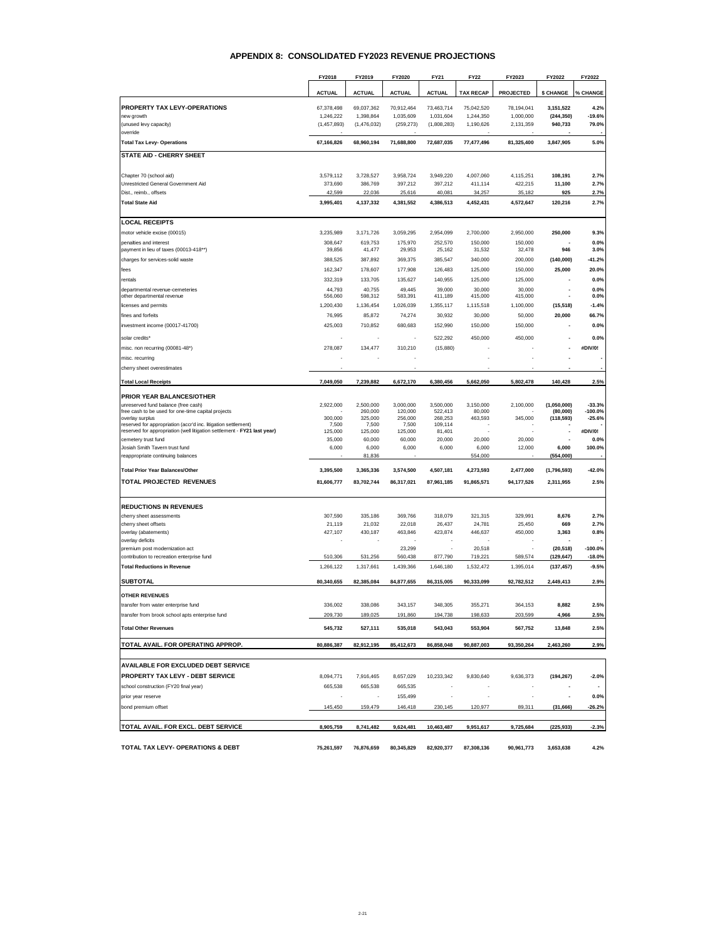#### **APPENDIX 8: CONSOLIDATED FY2023 REVENUE PROJECTIONS**

|                                                                                                                                            | FY2018            | FY2019               | FY2020               | <b>FY21</b>              | <b>FY22</b>         | FY2023            | FY2022                   | FY2022                |
|--------------------------------------------------------------------------------------------------------------------------------------------|-------------------|----------------------|----------------------|--------------------------|---------------------|-------------------|--------------------------|-----------------------|
|                                                                                                                                            | <b>ACTUAL</b>     | <b>ACTUAL</b>        | <b>ACTUAL</b>        | <b>ACTUAL</b>            | <b>TAX RECAP</b>    | <b>PROJECTED</b>  | <b>\$ CHANGE</b>         | % CHANGE              |
| PROPERTY TAX LEVY-OPERATIONS                                                                                                               | 67,378,498        | 69,037,362           | 70,912,464           | 73,463,714               | 75,042,520          | 78,194,041        | 3,151,522                | 4.2%                  |
| new growth                                                                                                                                 | 1,246,222         | 1,398,864            | 1,035,609            | 1,031,604                | 1,244,350           | 1,000,000         | (244, 350)               | $-19.6%$              |
| (unused levy capacity)<br>override                                                                                                         | (1,457,893)       | (1,476,032)          | (259, 273)           | (1,808,283)              | 1,190,626           | 2,131,359         | 940,733                  | 79.0%                 |
| <b>Total Tax Levy- Operations</b>                                                                                                          | 67,166,826        | 68,960,194           | 71,688,800           | 72,687,035               | 77,477,496          | 81,325,400        | 3,847,905                | 5.0%                  |
| STATE AID - CHERRY SHEET                                                                                                                   |                   |                      |                      |                          |                     |                   |                          |                       |
| Chapter 70 (school aid)                                                                                                                    | 3,579,112         | 3,728,527            | 3,958,724            | 3,949,220                | 4,007,060           | 4,115,251         | 108,191                  | 2.7%                  |
| Unrestricted General Government Aid                                                                                                        | 373,690           | 386,769              | 397,212              | 397,212                  | 411,114             | 422,215           | 11,100                   | 2.7%                  |
| Dist., reimb., offsets                                                                                                                     | 42,599            | 22,036               | 25,616               | 40,081                   | 34,257              | 35,182            | 925                      | 2.7%                  |
| <b>Total State Aid</b>                                                                                                                     | 3,995,401         | 4,137,332            | 4,381,552            | 4,386,513                | 4,452,431           | 4,572,647         | 120,216                  | 2.7%                  |
| <b>LOCAL RECEIPTS</b>                                                                                                                      |                   |                      |                      |                          |                     |                   |                          |                       |
| motor vehicle excise (00015)                                                                                                               | 3,235,989         | 3,171,726            | 3,059,295            | 2,954,099                | 2,700,000           | 2,950,000         | 250,000                  | 9.3%                  |
| penalties and interest<br>payment in lieu of taxes (00013-418**)                                                                           | 308,647<br>39,856 | 619.753<br>41,477    | 175,970<br>29,953    | 252,570<br>25,162        | 150,000<br>31,532   | 150,000<br>32,478 | 946                      | 0.0%<br>3.0%          |
| charges for services-solid waste                                                                                                           | 388,525           | 387,892              | 369,375              | 385,547                  | 340,000             | 200,000           | (140,000)                | $-41.2%$              |
| fees                                                                                                                                       | 162,347           | 178,607              | 177,908              | 126,483                  | 125,000             | 150,000           | 25,000                   | 20.0%                 |
| rentals                                                                                                                                    | 332,319           | 133,705              | 135,627              | 140,955                  | 125,000             | 125,000           |                          | 0.0%                  |
| departmental revenue-cemeteries                                                                                                            | 44,793            | 40,755               | 49,445               | 39,000                   | 30,000              | 30,000            |                          | 0.0%                  |
| other departmental revenue                                                                                                                 | 556,060           | 598,312              | 583,391              | 411,189                  | 415,000             | 415,000           |                          | 0.0%                  |
| licenses and permits                                                                                                                       | 1,200,430         | 1,136,454            | 1,026,039            | 1,355,117                | 1,115,518           | 1,100,000         | (15, 518)                | $-1.4%$               |
| fines and forfeits                                                                                                                         | 76,995            | 85,872               | 74.274               | 30,932                   | 30,000              | 50,000            | 20,000                   | 66.7%                 |
| investment income (00017-41700)                                                                                                            | 425,003           | 710,852              | 680,683              | 152,990                  | 150,000             | 150,000           |                          | 0.0%                  |
| solar credits*                                                                                                                             |                   |                      |                      | 522,292                  | 450,000             | 450,000           |                          | 0.0%                  |
| misc. non recurring (00081-48*)                                                                                                            | 278,087           | 134.477              | 310,210              | (15,880)                 |                     |                   |                          | #DIV/0!               |
| misc. recurring                                                                                                                            |                   |                      |                      |                          |                     |                   |                          |                       |
| cherry sheet overestimates                                                                                                                 |                   |                      |                      |                          |                     |                   |                          |                       |
| <b>Total Local Receipts</b>                                                                                                                | 7,049,050         | 7,239,882            | 6,672,170            | 6,380,456                | 5,662,050           | 5,802,478         | 140,428                  | 2.5%                  |
| PRIOR YEAR BALANCES/OTHER                                                                                                                  |                   |                      |                      |                          |                     |                   |                          |                       |
| unreserved fund balance (free cash)<br>free cash to be used for one-time capital projects                                                  | 2,922,000         | 2,500,000<br>260,000 | 3,000,000<br>120,000 | 3,500,000<br>522,413     | 3,150,000<br>80,000 | 2,100,000         | (1,050,000)<br>(80,000)  | $-33.3%$<br>$-100.0%$ |
| overlay surplus                                                                                                                            | 300,000           | 325,000              | 256,000              | 268,253                  | 463,593             | 345,000           | (118, 593)               | $-25.6%$              |
| reserved for appropriation (accr'd inc. litigation settlement)<br>reserved for appropriation (well litigation settlement - FY21 last year) | 7,500<br>125,000  | 7,500<br>125,000     | 7,500<br>125,000     | 109,114<br>81.401        | ٠                   |                   |                          | #DIV/0!               |
| cemetery trust fund                                                                                                                        | 35,000            | 60,000               | 60,000               | 20,000                   | 20,000              | 20,000            |                          | 0.0%                  |
| Josiah Smith Tavern trust fund                                                                                                             | 6,000             | 6,000                | 6,000                | 6,000                    | 6,000               | 12,000            | 6,000                    | 100.0%                |
| reappropriate continuing balances                                                                                                          |                   | 81,836               |                      |                          | 554,000             |                   | (554,000)                |                       |
| <b>Total Prior Year Balances/Other</b>                                                                                                     | 3,395,500         | 3,365,336            | 3,574,500            | 4,507,181                | 4,273,593           | 2,477,000         | (1,796,593)              | $-42.0%$              |
| TOTAL PROJECTED REVENUES                                                                                                                   | 81,606,777        | 83,702,744           | 86,317,021           | 87,961,185               | 91,865,571          | 94,177,526        | 2,311,955                | 2.5%                  |
| <b>REDUCTIONS IN REVENUES</b>                                                                                                              |                   |                      |                      |                          |                     |                   |                          |                       |
| cherry sheet assessments                                                                                                                   | 307,590           | 335,186              | 369,766              | 318,079                  | 321,315             | 329,991           | 8,676                    | 2.7%                  |
| cherry sheet offsets                                                                                                                       | 21,119            | 21.032               | 22,018               | 26,437                   | 24,781              | 25,450            | 669                      | 2.7%                  |
| overlay (abatements)                                                                                                                       | 427,107           | 430,187              | 463,846              | 423,874                  | 446,637             | 450,000           | 3,363                    | 0.8%                  |
| overlay deficits<br>premium post modernization act                                                                                         |                   |                      | 23.299               |                          | 20,518              |                   | (20, 518)                | $-100.0%$             |
| contribution to recreation enterprise fund                                                                                                 | 510,306           | 531,256              | 560,438              | 877,790                  | 719,221             | 589,574           | (129, 647)               | $-18.0%$              |
| <b>Total Reductions in Revenue</b>                                                                                                         | 1.266.122         | 1,317,661            | 1,439,366            | 1,646,180                | 1,532,472           | 1,395,014         | (137, 457)               | $-9.5%$               |
| <b>SUBTOTAL</b>                                                                                                                            | 80,340,655        | 82,385,084           | 84,877,655           | 86,315,005               | 90,333,099          | 92,782,512        | 2,449,413                | 2.9%                  |
| <b>OTHER REVENUES</b>                                                                                                                      |                   |                      |                      |                          |                     |                   |                          |                       |
| transfer from water enterprise fund                                                                                                        | 336,002           | 338,086              | 343,157              | 348,305                  | 355,271             | 364,153           | 8,882                    | 2.5%                  |
| transfer from brook school apts enterprise fund                                                                                            | 209,730           | 189,025              | 191,860              | 194,738                  | 198,633             | 203,599           | 4,966                    | 2.5%                  |
| <b>Total Other Revenues</b>                                                                                                                | 545,732           | 527,111              | 535,018              | 543,043                  | 553,904             | 567,752           | 13,848                   | 2.5%                  |
| TOTAL AVAIL. FOR OPERATING APPROP.                                                                                                         | 80,886,387        | 82,912,195           | 85,412,673           | 86,858,048               | 90,887,003          | 93,350,264        | 2,463,260                | 2.9%                  |
| AVAILABLE FOR EXCLUDED DEBT SERVICE                                                                                                        |                   |                      |                      |                          |                     |                   |                          |                       |
| PROPERTY TAX LEVY - DEBT SERVICE                                                                                                           | 8,094,771         | 7,916,465            | 8,657,029            | 10,233,342               | 9,830,640           | 9,636,373         | (194, 267)               | $-2.0%$               |
| school construction (FY20 final year)                                                                                                      | 665,538           | 665,538              | 665,535              |                          |                     |                   |                          |                       |
| prior year reserve                                                                                                                         |                   |                      | 155,499              | $\overline{\phantom{a}}$ |                     | ٠                 | $\overline{\phantom{a}}$ | 0.0%                  |
| bond premium offset                                                                                                                        | 145,450           | 159,479              | 146,418              | 230,145                  | 120,977             | 89,311            | (31, 666)                | $-26.2%$              |
| TOTAL AVAIL. FOR EXCL. DEBT SERVICE                                                                                                        | 8,905,759         | 8,741,482            | 9,624,481            | 10,463,487               | 9,951,617           | 9,725,684         | (225, 933)               | $-2.3%$               |
|                                                                                                                                            |                   |                      |                      |                          |                     |                   |                          |                       |
| TOTAL TAX LEVY- OPERATIONS & DEBT                                                                                                          | 75,261,597        | 76,876,659           | 80,345,829           | 82,920,377               | 87,308,136          | 90,961,773        | 3,653,638                | 4.2%                  |